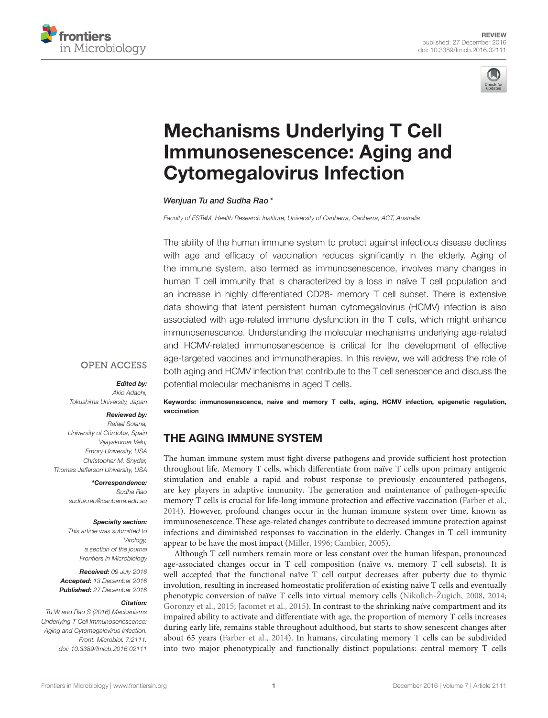



# Mechanisms Underlying T Cell [Immunosenescence: Aging and](http://journal.frontiersin.org/article/10.3389/fmicb.2016.02111/abstract) Cytomegalovirus Infection

[Wenjuan Tu](http://loop.frontiersin.org/people/266227/overview) and [Sudha Rao](http://loop.frontiersin.org/people/55664/overview)\*

Faculty of ESTeM, Health Research Institute, University of Canberra, Canberra, ACT, Australia

The ability of the human immune system to protect against infectious disease declines with age and efficacy of vaccination reduces significantly in the elderly. Aging of the immune system, also termed as immunosenescence, involves many changes in human T cell immunity that is characterized by a loss in naïve T cell population and an increase in highly differentiated CD28- memory T cell subset. There is extensive data showing that latent persistent human cytomegalovirus (HCMV) infection is also associated with age-related immune dysfunction in the T cells, which might enhance immunosenescence. Understanding the molecular mechanisms underlying age-related and HCMV-related immunosenescence is critical for the development of effective age-targeted vaccines and immunotherapies. In this review, we will address the role of both aging and HCMV infection that contribute to the T cell senescence and discuss the potential molecular mechanisms in aged T cells.

# **OPEN ACCESS**

#### Edited by:

Akio Adachi, Tokushima University, Japan

#### Reviewed by:

Rafael Solana, University of Córdoba, Spain Vijayakumar Velu, Emory University, USA Christopher M. Snyder, Thomas Jefferson University, USA

> \*Correspondence: Sudha Rao [sudha.rao@canberra.edu.au](mailto:sudha.rao@canberra.edu.au)

#### Specialty section:

This article was submitted to Virology, a section of the journal Frontiers in Microbiology

Received: 09 July 2016 Accepted: 13 December 2016 Published: 27 December 2016

#### Citation:

Tu W and Rao S (2016) Mechanisms Underlying T Cell Immunosenescence: Aging and Cytomegalovirus Infection. Front. Microbiol. 7:2111. doi: [10.3389/fmicb.2016.02111](https://doi.org/10.3389/fmicb.2016.02111)

Keywords: immunosenescence, naive and memory T cells, aging, HCMV infection, epigenetic regulation, vaccination

## THE AGING IMMUNE SYSTEM

The human immune system must fight diverse pathogens and provide sufficient host protection throughout life. Memory T cells, which differentiate from naïve T cells upon primary antigenic stimulation and enable a rapid and robust response to previously encountered pathogens, are key players in adaptive immunity. The generation and maintenance of pathogen-specific memory T cells is crucial for life-long immune protection and effective vaccination [\(Farber et al.,](#page-8-0) [2014\)](#page-8-0). However, profound changes occur in the human immune system over time, known as immunosenescence. These age-related changes contribute to decreased immune protection against infections and diminished responses to vaccination in the elderly. Changes in T cell immunity appear to be have the most impact [\(Miller, 1996;](#page-9-0) [Cambier, 2005\)](#page-7-0).

Although T cell numbers remain more or less constant over the human lifespan, pronounced age-associated changes occur in T cell composition (naïve vs. memory T cell subsets). It is well accepted that the functional naïve T cell output decreases after puberty due to thymic involution, resulting in increased homeostatic proliferation of existing naïve T cells and eventually phenotypic conversion of naïve T cells into virtual memory cells [\(Nikolich-Žugich, 2008,](#page-10-0) [2014;](#page-10-1) [Goronzy et al., 2015;](#page-8-1) [Jacomet et al., 2015\)](#page-9-1). In contrast to the shrinking naïve compartment and its impaired ability to activate and differentiate with age, the proportion of memory T cells increases during early life, remains stable throughout adulthood, but starts to show senescent changes after about 65 years [\(Farber et al., 2014\)](#page-8-0). In humans, circulating memory T cells can be subdivided into two major phenotypically and functionally distinct populations: central memory T cells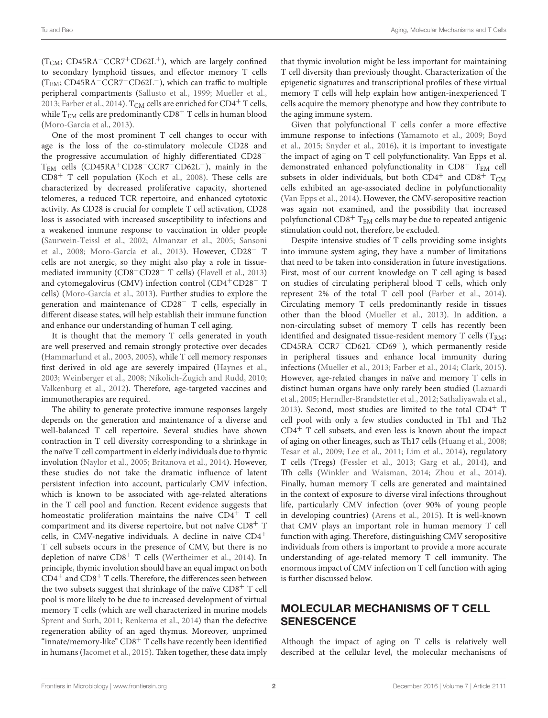$(T<sub>CM</sub>; CD45RA<sup>-</sup>CCR<sup>+</sup>CD62L<sup>+</sup>)$ , which are largely confined to secondary lymphoid tissues, and effector memory T cells (TEM; CD45RA−CCR7−CD62L−), which can traffic to multiple peripheral compartments [\(Sallusto et al., 1999;](#page-10-2) [Mueller et al.,](#page-9-2) [2013;](#page-9-2) [Farber et al., 2014\)](#page-8-0).  $T_{CM}$  cells are enriched for  $CD4^+$  T cells, while  $T_{EM}$  cells are predominantly  $CD8<sup>+</sup>$  T cells in human blood [\(Moro-García et al., 2013\)](#page-9-3).

One of the most prominent T cell changes to occur with age is the loss of the co-stimulatory molecule CD28 and the progressive accumulation of highly differentiated CD28<sup>−</sup> TEM cells (CD45RA+CD28−CCR7−CD62L−), mainly in the CD8<sup>+</sup> T cell population [\(Koch et al., 2008\)](#page-9-4). These cells are characterized by decreased proliferative capacity, shortened telomeres, a reduced TCR repertoire, and enhanced cytotoxic activity. As CD28 is crucial for complete T cell activation, CD28 loss is associated with increased susceptibility to infections and a weakened immune response to vaccination in older people [\(Saurwein-Teissl et al., 2002;](#page-10-3) [Almanzar et al., 2005;](#page-7-1) Sansoni et al., [2008;](#page-10-4) [Moro-García et al., 2013\)](#page-9-3). However, CD28<sup>−</sup> T cells are not anergic, so they might also play a role in tissuemediated immunity (CD8+CD28<sup>−</sup> T cells) [\(Flavell et al., 2013\)](#page-8-2) and cytomegalovirus (CMV) infection control (CD4+CD28<sup>−</sup> T cells) [\(Moro-García et al., 2013\)](#page-9-3). Further studies to explore the generation and maintenance of CD28<sup>−</sup> T cells, especially in different disease states, will help establish their immune function and enhance our understanding of human T cell aging.

It is thought that the memory T cells generated in youth are well preserved and remain strongly protective over decades [\(Hammarlund et al., 2003,](#page-8-3) [2005\)](#page-8-4), while T cell memory responses first derived in old age are severely impaired [\(Haynes et al.,](#page-8-5) [2003;](#page-8-5) [Weinberger et al., 2008;](#page-11-0) [Nikolich-Žugich and Rudd, 2010;](#page-10-5) [Valkenburg et al., 2012\)](#page-11-1). Therefore, age-targeted vaccines and immunotherapies are required.

The ability to generate protective immune responses largely depends on the generation and maintenance of a diverse and well-balanced T cell repertoire. Several studies have shown contraction in T cell diversity corresponding to a shrinkage in the naïve T cell compartment in elderly individuals due to thymic involution [\(Naylor et al., 2005;](#page-10-6) [Britanova et al., 2014\)](#page-7-2). However, these studies do not take the dramatic influence of latent persistent infection into account, particularly CMV infection, which is known to be associated with age-related alterations in the T cell pool and function. Recent evidence suggests that homeostatic proliferation maintains the naïve  $CD4^+$  T cell compartment and its diverse repertoire, but not naïve CD8<sup>+</sup> T cells, in CMV-negative individuals. A decline in naïve  $CD4^+$ T cell subsets occurs in the presence of CMV, but there is no depletion of naïve CD8<sup>+</sup> T cells [\(Wertheimer et al., 2014\)](#page-11-2). In principle, thymic involution should have an equal impact on both  $CD4^+$  and  $CD8^+$  T cells. Therefore, the differences seen between the two subsets suggest that shrinkage of the naïve  $CD8<sup>+</sup>$  T cell pool is more likely to be due to increased development of virtual memory T cells (which are well characterized in murine models [Sprent and Surh, 2011;](#page-11-3) [Renkema et al., 2014\)](#page-10-7) than the defective regeneration ability of an aged thymus. Moreover, unprimed "innate/memory-like"  $CD8<sup>+</sup>$  T cells have recently been identified in humans [\(Jacomet et al., 2015\)](#page-9-1). Taken together, these data imply that thymic involution might be less important for maintaining T cell diversity than previously thought. Characterization of the epigenetic signatures and transcriptional profiles of these virtual memory T cells will help explain how antigen-inexperienced T cells acquire the memory phenotype and how they contribute to the aging immune system.

Given that polyfunctional T cells confer a more effective immune response to infections [\(Yamamoto et al., 2009;](#page-11-4) Boyd et al., [2015;](#page-7-3) [Snyder et al., 2016\)](#page-10-8), it is important to investigate the impact of aging on T cell polyfunctionality. Van Epps et al. demonstrated enhanced polyfunctionality in CD8<sup>+</sup> TEM cell subsets in older individuals, but both CD4<sup>+</sup> and CD8<sup>+</sup> T<sub>CM</sub> cells exhibited an age-associated decline in polyfunctionality [\(Van Epps et al., 2014\)](#page-11-5). However, the CMV-seropositive reaction was again not examined, and the possibility that increased polyfunctional  $CD8<sup>+</sup>$  T<sub>EM</sub> cells may be due to repeated antigenic stimulation could not, therefore, be excluded.

Despite intensive studies of T cells providing some insights into immune system aging, they have a number of limitations that need to be taken into consideration in future investigations. First, most of our current knowledge on T cell aging is based on studies of circulating peripheral blood T cells, which only represent 2% of the total T cell pool [\(Farber et al., 2014\)](#page-8-0). Circulating memory T cells predominantly reside in tissues other than the blood [\(Mueller et al., 2013\)](#page-9-2). In addition, a non-circulating subset of memory T cells has recently been identified and designated tissue-resident memory  $T$  cells ( $T_{RM}$ ; CD45RA−CCR7−CD62L−CD69+), which permanently reside in peripheral tissues and enhance local immunity during infections [\(Mueller et al., 2013;](#page-9-2) [Farber et al., 2014;](#page-8-0) [Clark, 2015\)](#page-7-4). However, age-related changes in naïve and memory T cells in distinct human organs have only rarely been studied (Lazuardi et al., [2005;](#page-9-5) [Herndler-Brandstetter et al., 2012;](#page-8-6) [Sathaliyawala et al.,](#page-10-9) [2013\)](#page-10-9). Second, most studies are limited to the total  $CD4^+$  T cell pool with only a few studies conducted in Th1 and Th2 CD4<sup>+</sup> T cell subsets, and even less is known about the impact of aging on other lineages, such as Th17 cells [\(Huang et al., 2008;](#page-9-6) [Tesar et al., 2009;](#page-11-6) [Lee et al., 2011;](#page-9-7) [Lim et al., 2014\)](#page-9-8), regulatory T cells (Tregs) [\(Fessler et al., 2013;](#page-8-7) [Garg et al., 2014\)](#page-8-8), and Tfh cells [\(Winkler and Waisman, 2014;](#page-11-7) [Zhou et al., 2014\)](#page-11-8). Finally, human memory T cells are generated and maintained in the context of exposure to diverse viral infections throughout life, particularly CMV infection (over 90% of young people in developing countries) [\(Arens et al., 2015\)](#page-7-5). It is well-known that CMV plays an important role in human memory T cell function with aging. Therefore, distinguishing CMV seropositive individuals from others is important to provide a more accurate understanding of age-related memory T cell immunity. The enormous impact of CMV infection on T cell function with aging is further discussed below.

# MOLECULAR MECHANISMS OF T CELL **SENESCENCE**

Although the impact of aging on T cells is relatively well described at the cellular level, the molecular mechanisms of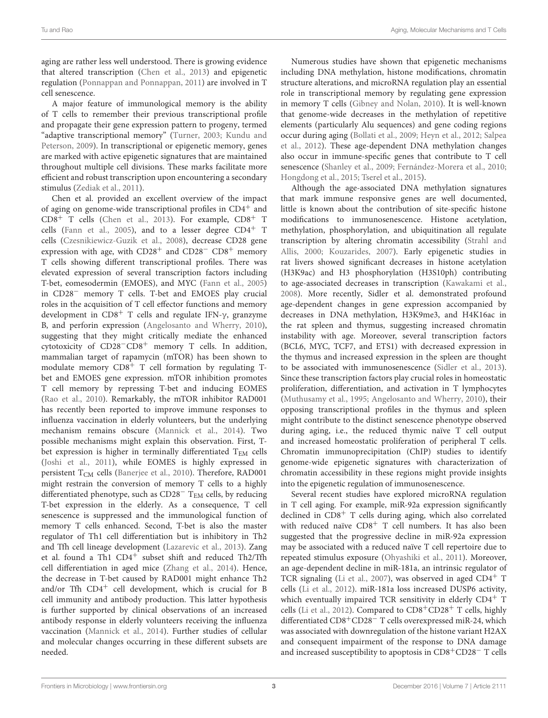aging are rather less well understood. There is growing evidence that altered transcription [\(Chen et al., 2013\)](#page-7-6) and epigenetic regulation [\(Ponnappan and Ponnappan, 2011\)](#page-10-10) are involved in T cell senescence.

A major feature of immunological memory is the ability of T cells to remember their previous transcriptional profile and propagate their gene expression pattern to progeny, termed "adaptive transcriptional memory" [\(Turner, 2003;](#page-11-9) Kundu and Peterson, [2009\)](#page-9-9). In transcriptional or epigenetic memory, genes are marked with active epigenetic signatures that are maintained throughout multiple cell divisions. These marks facilitate more efficient and robust transcription upon encountering a secondary stimulus [\(Zediak et al., 2011\)](#page-11-10).

Chen et al. provided an excellent overview of the impact of aging on genome-wide transcriptional profiles in CD4<sup>+</sup> and CD8<sup>+</sup> T cells [\(Chen et al., 2013\)](#page-7-6). For example, CD8<sup>+</sup> T cells [\(Fann et al., 2005\)](#page-8-9), and to a lesser degree  $CD4^+$  T cells [\(Czesnikiewicz-Guzik et al., 2008\)](#page-8-10), decrease CD28 gene expression with age, with  $CD28^+$  and  $CD28^ CD8^+$  memory T cells showing different transcriptional profiles. There was elevated expression of several transcription factors including T-bet, eomesodermin (EMOES), and MYC [\(Fann et al., 2005\)](#page-8-9) in CD28<sup>−</sup> memory T cells. T-bet and EMOES play crucial roles in the acquisition of T cell effector functions and memory development in  $CD8^+$  T cells and regulate IFN- $\gamma$ , granzyme B, and perforin expression [\(Angelosanto and Wherry, 2010\)](#page-7-7), suggesting that they might critically mediate the enhanced cytotoxicity of CD28−CD8<sup>+</sup> memory T cells. In addition, mammalian target of rapamycin (mTOR) has been shown to modulate memory CD8<sup>+</sup> T cell formation by regulating Tbet and EMOES gene expression. mTOR inhibition promotes T cell memory by repressing T-bet and inducing EOMES [\(Rao et al., 2010\)](#page-10-11). Remarkably, the mTOR inhibitor RAD001 has recently been reported to improve immune responses to influenza vaccination in elderly volunteers, but the underlying mechanism remains obscure [\(Mannick et al., 2014\)](#page-9-10). Two possible mechanisms might explain this observation. First, Tbet expression is higher in terminally differentiated  $T_{EM}$  cells [\(Joshi et al., 2011\)](#page-9-11), while EOMES is highly expressed in persistent T<sub>CM</sub> cells [\(Banerjee et al., 2010\)](#page-7-8). Therefore, RAD001 might restrain the conversion of memory T cells to a highly differentiated phenotype, such as  $CD28<sup>-</sup>$  T<sub>EM</sub> cells, by reducing T-bet expression in the elderly. As a consequence, T cell senescence is suppressed and the immunological function of memory T cells enhanced. Second, T-bet is also the master regulator of Th1 cell differentiation but is inhibitory in Th2 and Tfh cell lineage development [\(Lazarevic et al., 2013\)](#page-9-12). Zang et al. found a Th1 CD4<sup>+</sup> subset shift and reduced Th2/Tfh cell differentiation in aged mice [\(Zhang et al., 2014\)](#page-11-11). Hence, the decrease in T-bet caused by RAD001 might enhance Th2 and/or Tfh CD4<sup>+</sup> cell development, which is crucial for B cell immunity and antibody production. This latter hypothesis is further supported by clinical observations of an increased antibody response in elderly volunteers receiving the influenza vaccination [\(Mannick et al., 2014\)](#page-9-10). Further studies of cellular and molecular changes occurring in these different subsets are needed.

Numerous studies have shown that epigenetic mechanisms including DNA methylation, histone modifications, chromatin structure alterations, and microRNA regulation play an essential role in transcriptional memory by regulating gene expression in memory T cells [\(Gibney and Nolan, 2010\)](#page-8-11). It is well-known that genome-wide decreases in the methylation of repetitive elements (particularly Alu sequences) and gene coding regions occur during aging [\(Bollati et al., 2009;](#page-7-9) [Heyn et al., 2012;](#page-9-13) Salpea et al., [2012\)](#page-10-12). These age-dependent DNA methylation changes also occur in immune-specific genes that contribute to T cell senescence [\(Shanley et al., 2009;](#page-10-13) [Fernández-Morera et al., 2010;](#page-8-12) [Hongdong et al., 2015;](#page-9-14) [Tserel et al., 2015\)](#page-11-12).

Although the age-associated DNA methylation signatures that mark immune responsive genes are well documented, little is known about the contribution of site-specific histone modifications to immunosenescence. Histone acetylation, methylation, phosphorylation, and ubiquitination all regulate transcription by altering chromatin accessibility (Strahl and Allis, [2000;](#page-11-13) [Kouzarides, 2007\)](#page-9-15). Early epigenetic studies in rat livers showed significant decreases in histone acetylation (H3K9ac) and H3 phosphorylation (H3S10ph) contributing to age-associated decreases in transcription [\(Kawakami et al.,](#page-9-16) [2008\)](#page-9-16). More recently, Sidler et al. demonstrated profound age-dependent changes in gene expression accompanied by decreases in DNA methylation, H3K9me3, and H4K16ac in the rat spleen and thymus, suggesting increased chromatin instability with age. Moreover, several transcription factors (BCL6, MYC, TCF7, and ETS1) with decreased expression in the thymus and increased expression in the spleen are thought to be associated with immunosenescence [\(Sidler et al., 2013\)](#page-10-14). Since these transcription factors play crucial roles in homeostatic proliferation, differentiation, and activation in T lymphocytes [\(Muthusamy et al., 1995;](#page-10-15) [Angelosanto and Wherry, 2010\)](#page-7-7), their opposing transcriptional profiles in the thymus and spleen might contribute to the distinct senescence phenotype observed during aging, i.e., the reduced thymic naïve T cell output and increased homeostatic proliferation of peripheral T cells. Chromatin immunoprecipitation (ChIP) studies to identify genome-wide epigenetic signatures with characterization of chromatin accessibility in these regions might provide insights into the epigenetic regulation of immunosenescence.

Several recent studies have explored microRNA regulation in T cell aging. For example, miR-92a expression significantly declined in CD8<sup>+</sup> T cells during aging, which also correlated with reduced naïve  $CD8<sup>+</sup>$  T cell numbers. It has also been suggested that the progressive decline in miR-92a expression may be associated with a reduced naïve T cell repertoire due to repeated stimulus exposure [\(Ohyashiki et al., 2011\)](#page-10-16). Moreover, an age-dependent decline in miR-181a, an intrinsic regulator of TCR signaling [\(Li et al., 2007\)](#page-9-17), was observed in aged  $CD4^+$  T cells [\(Li et al., 2012\)](#page-9-18). miR-181a loss increased DUSP6 activity, which eventually impaired TCR sensitivity in elderly  $CD4^+$  T cells [\(Li et al., 2012\)](#page-9-18). Compared to  $CD8+CD28<sup>+</sup>$  T cells, highly differentiated CD8+CD28<sup>−</sup> T cells overexpressed miR-24, which was associated with downregulation of the histone variant H2AX and consequent impairment of the response to DNA damage and increased susceptibility to apoptosis in CD8+CD28<sup>−</sup> T cells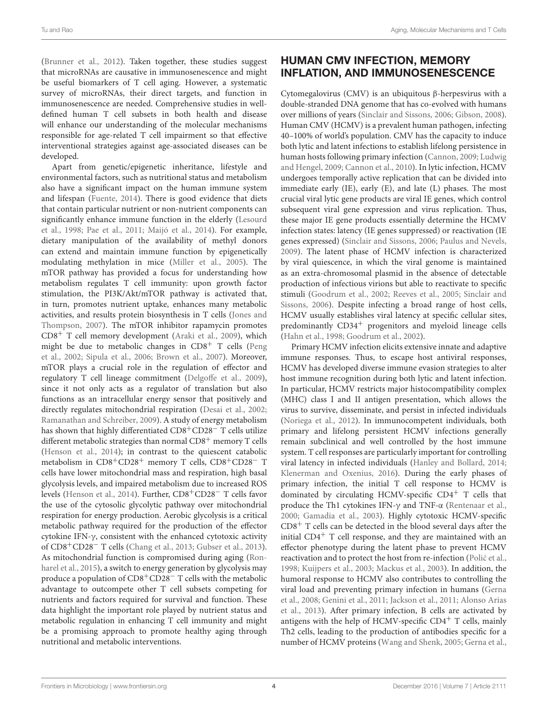[\(Brunner et al., 2012\)](#page-7-10). Taken together, these studies suggest that microRNAs are causative in immunosenescence and might be useful biomarkers of T cell aging. However, a systematic survey of microRNAs, their direct targets, and function in immunosenescence are needed. Comprehensive studies in welldefined human T cell subsets in both health and disease will enhance our understanding of the molecular mechanisms responsible for age-related T cell impairment so that effective interventional strategies against age-associated diseases can be developed.

Apart from genetic/epigenetic inheritance, lifestyle and environmental factors, such as nutritional status and metabolism also have a significant impact on the human immune system and lifespan [\(Fuente, 2014\)](#page-8-13). There is good evidence that diets that contain particular nutrient or non-nutrient components can significantly enhance immune function in the elderly (Lesourd et al., [1998;](#page-9-19) [Pae et al., 2011;](#page-10-17) [Maijó et al., 2014\)](#page-9-20). For example, dietary manipulation of the availability of methyl donors can extend and maintain immune function by epigenetically modulating methylation in mice [\(Miller et al., 2005\)](#page-9-21). The mTOR pathway has provided a focus for understanding how metabolism regulates T cell immunity: upon growth factor stimulation, the PI3K/Akt/mTOR pathway is activated that, in turn, promotes nutrient uptake, enhances many metabolic activities, and results protein biosynthesis in T cells (Jones and Thompson, [2007\)](#page-9-22). The mTOR inhibitor rapamycin promotes CD8<sup>+</sup> T cell memory development [\(Araki et al., 2009\)](#page-7-11), which might be due to metabolic changes in  $CD8<sup>+</sup>$  T cells (Peng et al., [2002;](#page-10-18) [Sipula et al., 2006;](#page-10-19) [Brown et al., 2007\)](#page-7-12). Moreover, mTOR plays a crucial role in the regulation of effector and regulatory T cell lineage commitment [\(Delgoffe et al., 2009\)](#page-8-14), since it not only acts as a regulator of translation but also functions as an intracellular energy sensor that positively and directly regulates mitochondrial respiration [\(Desai et al., 2002;](#page-8-15) [Ramanathan and Schreiber, 2009\)](#page-10-20). A study of energy metabolism has shown that highly differentiated CD8+CD28<sup>−</sup> T cells utilize different metabolic strategies than normal CD8<sup>+</sup> memory T cells [\(Henson et al., 2014\)](#page-8-16); in contrast to the quiescent catabolic metabolism in CD8+CD28<sup>+</sup> memory T cells, CD8+CD28<sup>−</sup> T cells have lower mitochondrial mass and respiration, high basal glycolysis levels, and impaired metabolism due to increased ROS levels [\(Henson et al., 2014\)](#page-8-16). Further, CD8+CD28<sup>−</sup> T cells favor the use of the cytosolic glycolytic pathway over mitochondrial respiration for energy production. Aerobic glycolysis is a critical metabolic pathway required for the production of the effector cytokine IFN-γ, consistent with the enhanced cytotoxic activity of CD8+CD28<sup>−</sup> T cells [\(Chang et al., 2013;](#page-7-13) [Gubser et al., 2013\)](#page-8-17). As mitochondrial function is compromised during aging (Ronharel et al., [2015\)](#page-10-21), a switch to energy generation by glycolysis may produce a population of CD8+CD28<sup>−</sup> T cells with the metabolic advantage to outcompete other T cell subsets competing for nutrients and factors required for survival and function. These data highlight the important role played by nutrient status and metabolic regulation in enhancing T cell immunity and might be a promising approach to promote healthy aging through nutritional and metabolic interventions.

# HUMAN CMV INFECTION, MEMORY INFLATION, AND IMMUNOSENESCENCE

Cytomegalovirus (CMV) is an ubiquitous β-herpesvirus with a double-stranded DNA genome that has co-evolved with humans over millions of years [\(Sinclair and Sissons, 2006;](#page-10-22) [Gibson, 2008\)](#page-8-18). Human CMV (HCMV) is a prevalent human pathogen, infecting 40–100% of world's population. CMV has the capacity to induce both lytic and latent infections to establish lifelong persistence in human hosts following primary infection [\(Cannon, 2009;](#page-7-14) Ludwig and Hengel, [2009;](#page-9-23) [Cannon et al., 2010\)](#page-7-15). In lytic infection, HCMV undergoes temporally active replication that can be divided into immediate early (IE), early (E), and late (L) phases. The most crucial viral lytic gene products are viral IE genes, which control subsequent viral gene expression and virus replication. Thus, these major IE gene products essentially determine the HCMV infection states: latency (IE genes suppressed) or reactivation (IE genes expressed) [\(Sinclair and Sissons, 2006;](#page-10-22) [Paulus and Nevels,](#page-10-23) [2009\)](#page-10-23). The latent phase of HCMV infection is characterized by viral quiescence, in which the viral genome is maintained as an extra-chromosomal plasmid in the absence of detectable production of infectious virions but able to reactivate to specific stimuli [\(Goodrum et al., 2002;](#page-8-19) [Reeves et al., 2005;](#page-10-24) Sinclair and Sissons, [2006\)](#page-10-22). Despite infecting a broad range of host cells, HCMV usually establishes viral latency at specific cellular sites, predominantly CD34<sup>+</sup> progenitors and myeloid lineage cells [\(Hahn et al., 1998;](#page-8-20) [Goodrum et al., 2002\)](#page-8-19).

Primary HCMV infection elicits extensive innate and adaptive immune responses. Thus, to escape host antiviral responses, HCMV has developed diverse immune evasion strategies to alter host immune recognition during both lytic and latent infection. In particular, HCMV restricts major histocompatibility complex (MHC) class I and II antigen presentation, which allows the virus to survive, disseminate, and persist in infected individuals [\(Noriega et al., 2012\)](#page-10-25). In immunocompetent individuals, both primary and lifelong persistent HCMV infections generally remain subclinical and well controlled by the host immune system. T cell responses are particularly important for controlling viral latency in infected individuals [\(Hanley and Bollard, 2014;](#page-8-21) [Klenerman and Oxenius, 2016\)](#page-9-24). During the early phases of primary infection, the initial T cell response to HCMV is dominated by circulating HCMV-specific CD4<sup>+</sup> T cells that produce the Th1 cytokines IFN-γ and TNF-α [\(Rentenaar et al.,](#page-10-26) [2000;](#page-10-26) [Gamadia et al., 2003\)](#page-8-22). Highly cytotoxic HCMV-specific  $CD8<sup>+</sup>$  T cells can be detected in the blood several days after the initial CD4<sup>+</sup> T cell response, and they are maintained with an effector phenotype during the latent phase to prevent HCMV reactivation and to protect the host from re-infection (Polić et al., [1998;](#page-10-27) [Kuijpers et al., 2003;](#page-9-25) [Mackus et al., 2003\)](#page-9-26). In addition, the humoral response to HCMV also contributes to controlling the viral load and preventing primary infection in humans (Gerna et al., [2008;](#page-8-23) [Genini et al., 2011;](#page-8-24) [Jackson et al., 2011;](#page-9-27) Alonso Arias et al., [2013\)](#page-7-16). After primary infection, B cells are activated by antigens with the help of HCMV-specific  $CD4<sup>+</sup>$  T cells, mainly Th2 cells, leading to the production of antibodies specific for a number of HCMV proteins [\(Wang and Shenk, 2005;](#page-11-14) [Gerna et al.,](#page-8-23)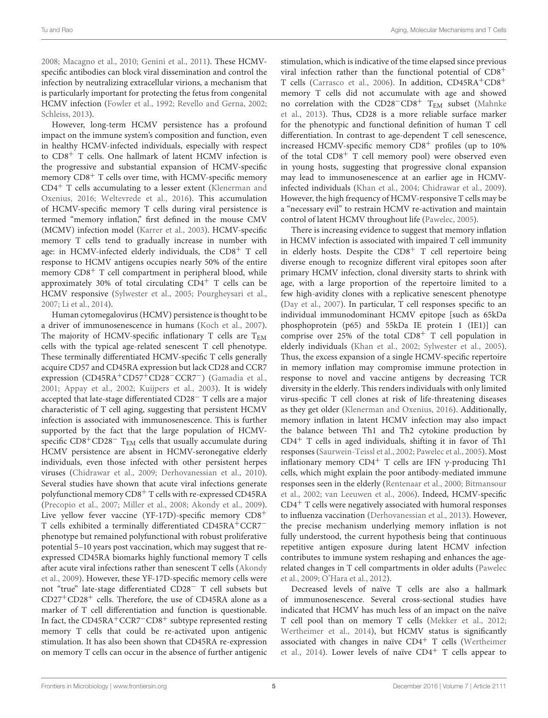[2008;](#page-8-23) [Macagno et al., 2010;](#page-9-28) [Genini et al., 2011\)](#page-8-24). These HCMVspecific antibodies can block viral dissemination and control the infection by neutralizing extracellular virions, a mechanism that is particularly important for protecting the fetus from congenital HCMV infection [\(Fowler et al., 1992;](#page-8-25) [Revello and Gerna, 2002;](#page-10-28) [Schleiss, 2013\)](#page-10-29).

However, long-term HCMV persistence has a profound impact on the immune system's composition and function, even in healthy HCMV-infected individuals, especially with respect to CD8<sup>+</sup> T cells. One hallmark of latent HCMV infection is the progressive and substantial expansion of HCMV-specific memory CD8<sup>+</sup> T cells over time, with HCMV-specific memory  $CD4<sup>+</sup>$  T cells accumulating to a lesser extent (Klenerman and Oxenius, [2016;](#page-9-24) [Weltevrede et al., 2016\)](#page-11-15). This accumulation of HCMV-specific memory T cells during viral persistence is termed "memory inflation," first defined in the mouse CMV (MCMV) infection model [\(Karrer et al., 2003\)](#page-9-29). HCMV-specific memory T cells tend to gradually increase in number with age: in HCMV-infected elderly individuals, the CD8<sup>+</sup> T cell response to HCMV antigens occupies nearly 50% of the entire memory  $CD8<sup>+</sup>$  T cell compartment in peripheral blood, while approximately 30% of total circulating  $CD4^+$  T cells can be HCMV responsive [\(Sylwester et al., 2005;](#page-11-16) [Pourgheysari et al.,](#page-10-30) [2007;](#page-10-30) [Li et al., 2014\)](#page-9-30).

Human cytomegalovirus (HCMV) persistence is thought to be a driver of immunosenescence in humans [\(Koch et al., 2007\)](#page-9-31). The majority of HCMV-specific inflationary T cells are  $T_{EM}$ cells with the typical age-related senescent T cell phenotype. These terminally differentiated HCMV-specific T cells generally acquire CD57 and CD45RA expression but lack CD28 and CCR7 expression (CD45RA<sup>+</sup>CD57<sup>+</sup>CD28<sup>−</sup>CCR7<sup>−</sup>) [\(Gamadia et al.,](#page-8-26) [2001;](#page-8-26) [Appay et al., 2002;](#page-7-17) [Kuijpers et al., 2003\)](#page-9-25). It is widely accepted that late-stage differentiated CD28<sup>−</sup> T cells are a major characteristic of T cell aging, suggesting that persistent HCMV infection is associated with immunosenescence. This is further supported by the fact that the large population of HCMVspecific CD8<sup>+</sup>CD28<sup>-</sup> T<sub>EM</sub> cells that usually accumulate during HCMV persistence are absent in HCMV-seronegative elderly individuals, even those infected with other persistent herpes viruses [\(Chidrawar et al., 2009;](#page-7-18) [Derhovanessian et al., 2010\)](#page-8-27). Several studies have shown that acute viral infections generate polyfunctional memory CD8<sup>+</sup> T cells with re-expressed CD45RA [\(Precopio et al., 2007;](#page-10-31) [Miller et al., 2008;](#page-9-32) [Akondy et al., 2009\)](#page-7-19). Live yellow fever vaccine (YF-17D)-specific memory CD8<sup>+</sup> T cells exhibited a terminally differentiated CD45RA+CCR7<sup>−</sup> phenotype but remained polyfunctional with robust proliferative potential 5–10 years post vaccination, which may suggest that reexpressed CD45RA biomarks highly functional memory T cells after acute viral infections rather than senescent T cells (Akondy et al., [2009\)](#page-7-19). However, these YF-17D-specific memory cells were not "true" late-stage differentiated CD28<sup>−</sup> T cell subsets but CD27+CD28<sup>+</sup> cells. Therefore, the use of CD45RA alone as a marker of T cell differentiation and function is questionable. In fact, the CD45RA+CCR7−CD8<sup>+</sup> subtype represented resting memory T cells that could be re-activated upon antigenic stimulation. It has also been shown that CD45RA re-expression on memory T cells can occur in the absence of further antigenic stimulation, which is indicative of the time elapsed since previous viral infection rather than the functional potential of CD8<sup>+</sup> T cells [\(Carrasco et al., 2006\)](#page-7-20). In addition, CD45RA+CD8<sup>+</sup> memory T cells did not accumulate with age and showed no correlation with the CD28−CD8<sup>+</sup> TEM subset (Mahnke et al., [2013\)](#page-9-33). Thus, CD28 is a more reliable surface marker for the phenotypic and functional definition of human T cell differentiation. In contrast to age-dependent T cell senescence, increased HCMV-specific memory  $CD8<sup>+</sup>$  profiles (up to 10%) of the total  $CD8<sup>+</sup>$  T cell memory pool) were observed even in young hosts, suggesting that progressive clonal expansion may lead to immunosenescence at an earlier age in HCMVinfected individuals [\(Khan et al., 2004;](#page-9-34) [Chidrawar et al., 2009\)](#page-7-18). However, the high frequency of HCMV-responsive T cells may be a "necessary evil" to restrain HCMV re-activation and maintain control of latent HCMV throughout life [\(Pawelec, 2005\)](#page-10-32).

There is increasing evidence to suggest that memory inflation in HCMV infection is associated with impaired T cell immunity in elderly hosts. Despite the  $CD8<sup>+</sup>$  T cell repertoire being diverse enough to recognize different viral epitopes soon after primary HCMV infection, clonal diversity starts to shrink with age, with a large proportion of the repertoire limited to a few high-avidity clones with a replicative senescent phenotype [\(Day et al., 2007\)](#page-8-28). In particular, T cell responses specific to an individual immunodominant HCMV epitope [such as 65kDa phosphoprotein (p65) and 55kDa IE protein 1 (IE1)] can comprise over 25% of the total  $CD8<sup>+</sup>$  T cell population in elderly individuals [\(Khan et al., 2002;](#page-9-35) [Sylwester et al., 2005\)](#page-11-16). Thus, the excess expansion of a single HCMV-specific repertoire in memory inflation may compromise immune protection in response to novel and vaccine antigens by decreasing TCR diversity in the elderly. This renders individuals with only limited virus-specific T cell clones at risk of life-threatening diseases as they get older [\(Klenerman and Oxenius, 2016\)](#page-9-24). Additionally, memory inflation in latent HCMV infection may also impact the balance between Th1 and Th2 cytokine production by  $CD4<sup>+</sup>$  T cells in aged individuals, shifting it in favor of Th1 responses [\(Saurwein-Teissl et al., 2002;](#page-10-3) [Pawelec et al., 2005\)](#page-10-33). Most inflationary memory  $CD4^+$  T cells are IFN  $\gamma$ -producing Th1 cells, which might explain the poor antibody-mediated immune responses seen in the elderly [\(Rentenaar et al., 2000;](#page-10-26) Bitmansour et al., [2002;](#page-7-21) [van Leeuwen et al., 2006\)](#page-11-17). Indeed, HCMV-specific  $CD4<sup>+</sup>$  T cells were negatively associated with humoral responses to influenza vaccination [\(Derhovanessian et al., 2013\)](#page-8-29). However, the precise mechanism underlying memory inflation is not fully understood, the current hypothesis being that continuous repetitive antigen exposure during latent HCMV infection contributes to immune system reshaping and enhances the agerelated changes in T cell compartments in older adults (Pawelec et al., [2009;](#page-10-34) [O'Hara et al., 2012\)](#page-10-35).

Decreased levels of naïve T cells are also a hallmark of immunosenescence. Several cross-sectional studies have indicated that HCMV has much less of an impact on the naïve T cell pool than on memory T cells [\(Mekker et al., 2012;](#page-9-36) [Wertheimer et al., 2014\)](#page-11-2), but HCMV status is significantly associated with changes in naïve  $CD4^+$  T cells (Wertheimer et al., [2014\)](#page-11-2). Lower levels of naïve  $CD4^+$  T cells appear to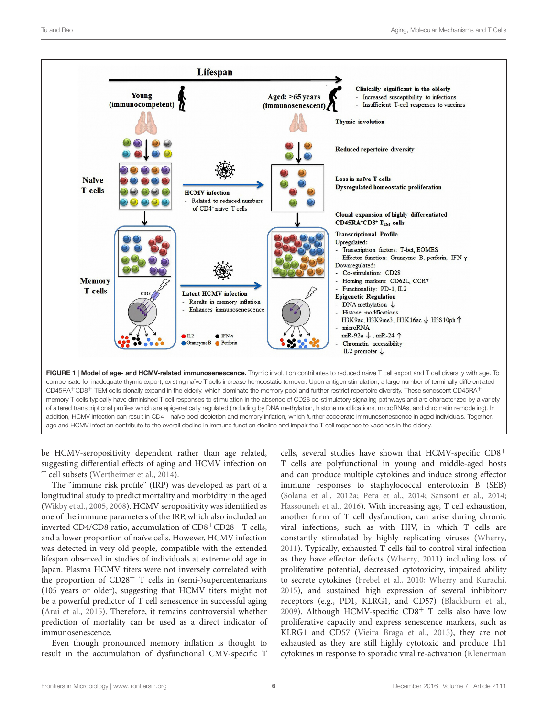

<span id="page-5-0"></span>CD45RA+CD8<sup>+</sup> TEM cells clonally expand in the elderly, which dominate the memory pool and further restrict repertoire diversity. These senescent CD45RA<sup>+</sup> memory T cells typically have diminished T cell responses to stimulation in the absence of CD28 co-stimulatory signaling pathways and are characterized by a variety of altered transcriptional profiles which are epigenetically regulated (including by DNA methylation, histone modifications, microRNAs, and chromatin remodeling). In addition, HCMV infection can result in CD4+ naïve pool depletion and memory inflation, which further accelerate immunosenescence in aged individuals. Together, age and HCMV infection contribute to the overall decline in immune function decline and impair the T cell response to vaccines in the elderly.

be HCMV-seropositivity dependent rather than age related, suggesting differential effects of aging and HCMV infection on T cell subsets [\(Wertheimer et al., 2014\)](#page-11-2).

The "immune risk profile" (IRP) was developed as part of a longitudinal study to predict mortality and morbidity in the aged [\(Wikby et al., 2005,](#page-11-18) [2008\)](#page-11-19). HCMV seropositivity was identified as one of the immune parameters of the IRP, which also included an inverted CD4/CD8 ratio, accumulation of CD8+CD28<sup>−</sup> T cells, and a lower proportion of naïve cells. However, HCMV infection was detected in very old people, compatible with the extended lifespan observed in studies of individuals at extreme old age in Japan. Plasma HCMV titers were not inversely correlated with the proportion of  $CD28<sup>+</sup>$  T cells in (semi-)supercentenarians (105 years or older), suggesting that HCMV titers might not be a powerful predictor of T cell senescence in successful aging [\(Arai et al., 2015\)](#page-7-22). Therefore, it remains controversial whether prediction of mortality can be used as a direct indicator of immunosenescence.

Even though pronounced memory inflation is thought to result in the accumulation of dysfunctional CMV-specific T cells, several studies have shown that HCMV-specific CD8<sup>+</sup> T cells are polyfunctional in young and middle-aged hosts and can produce multiple cytokines and induce strong effector immune responses to staphylococcal enterotoxin B (SEB) [\(Solana et al., 2012a;](#page-11-20) [Pera et al., 2014;](#page-10-36) [Sansoni et al., 2014;](#page-10-37) [Hassouneh et al., 2016\)](#page-8-30). With increasing age, T cell exhaustion, another form of T cell dysfunction, can arise during chronic viral infections, such as with HIV, in which T cells are constantly stimulated by highly replicating viruses [\(Wherry,](#page-11-21) [2011\)](#page-11-21). Typically, exhausted T cells fail to control viral infection as they have effector defects [\(Wherry, 2011\)](#page-11-21) including loss of proliferative potential, decreased cytotoxicity, impaired ability to secrete cytokines [\(Frebel et al., 2010;](#page-8-31) [Wherry and Kurachi,](#page-11-22) [2015\)](#page-11-22), and sustained high expression of several inhibitory receptors (e.g., PD1, KLRG1, and CD57) [\(Blackburn et al.,](#page-7-23) [2009\)](#page-7-23). Although HCMV-specific  $CD8<sup>+</sup>$  T cells also have low proliferative capacity and express senescence markers, such as KLRG1 and CD57 [\(Vieira Braga et al., 2015\)](#page-11-23), they are not exhausted as they are still highly cytotoxic and produce Th1 cytokines in response to sporadic viral re-activation (Klenerman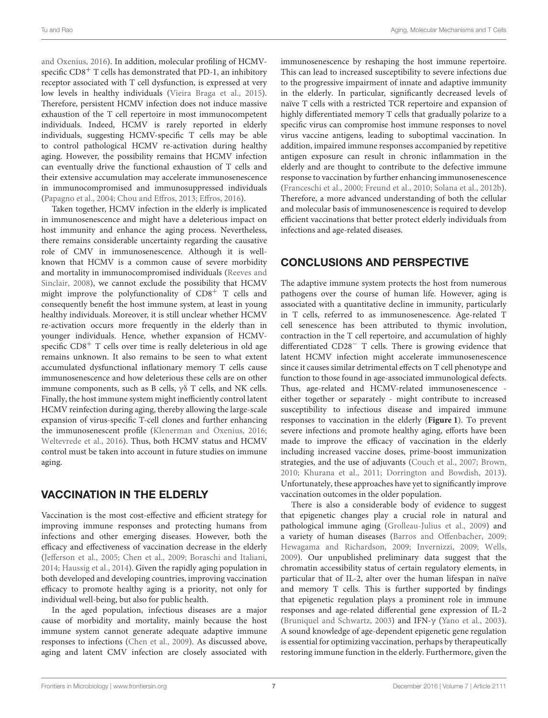and Oxenius, [2016\)](#page-9-24). In addition, molecular profiling of HCMVspecific  $CD8<sup>+</sup>$  T cells has demonstrated that PD-1, an inhibitory receptor associated with T cell dysfunction, is expressed at very low levels in healthy individuals [\(Vieira Braga et al., 2015\)](#page-11-23). Therefore, persistent HCMV infection does not induce massive exhaustion of the T cell repertoire in most immunocompetent individuals. Indeed, HCMV is rarely reported in elderly individuals, suggesting HCMV-specific T cells may be able to control pathological HCMV re-activation during healthy aging. However, the possibility remains that HCMV infection can eventually drive the functional exhaustion of T cells and their extensive accumulation may accelerate immunosenescence in immunocompromised and immunosuppressed individuals [\(Papagno et al., 2004;](#page-10-38) [Chou and Effros, 2013;](#page-7-24) [Effros, 2016\)](#page-8-32).

Taken together, HCMV infection in the elderly is implicated in immunosenescence and might have a deleterious impact on host immunity and enhance the aging process. Nevertheless, there remains considerable uncertainty regarding the causative role of CMV in immunosenescence. Although it is wellknown that HCMV is a common cause of severe morbidity and mortality in immunocompromised individuals (Reeves and Sinclair, [2008\)](#page-10-39), we cannot exclude the possibility that HCMV might improve the polyfunctionality of CD8<sup>+</sup> T cells and consequently benefit the host immune system, at least in young healthy individuals. Moreover, it is still unclear whether HCMV re-activation occurs more frequently in the elderly than in younger individuals. Hence, whether expansion of HCMVspecific  $CD8<sup>+</sup>$  T cells over time is really deleterious in old age remains unknown. It also remains to be seen to what extent accumulated dysfunctional inflationary memory T cells cause immunosenescence and how deleterious these cells are on other immune components, such as B cells, γδ T cells, and NK cells. Finally, the host immune system might inefficiently control latent HCMV reinfection during aging, thereby allowing the large-scale expansion of virus-specific T-cell clones and further enhancing the immunosenescent profile [\(Klenerman and Oxenius, 2016;](#page-9-24) [Weltevrede et al., 2016\)](#page-11-15). Thus, both HCMV status and HCMV control must be taken into account in future studies on immune aging.

# VACCINATION IN THE ELDERLY

Vaccination is the most cost-effective and efficient strategy for improving immune responses and protecting humans from infections and other emerging diseases. However, both the efficacy and effectiveness of vaccination decrease in the elderly [\(Jefferson et al., 2005;](#page-9-37) [Chen et al., 2009;](#page-7-25) [Boraschi and Italiani,](#page-7-26) [2014;](#page-7-26) [Haussig et al., 2014\)](#page-8-33). Given the rapidly aging population in both developed and developing countries, improving vaccination efficacy to promote healthy aging is a priority, not only for individual well-being, but also for public health.

In the aged population, infectious diseases are a major cause of morbidity and mortality, mainly because the host immune system cannot generate adequate adaptive immune responses to infections [\(Chen et al., 2009\)](#page-7-25). As discussed above, aging and latent CMV infection are closely associated with

immunosenescence by reshaping the host immune repertoire. This can lead to increased susceptibility to severe infections due to the progressive impairment of innate and adaptive immunity in the elderly. In particular, significantly decreased levels of naïve T cells with a restricted TCR repertoire and expansion of highly differentiated memory T cells that gradually polarize to a specific virus can compromise host immune responses to novel virus vaccine antigens, leading to suboptimal vaccination. In addition, impaired immune responses accompanied by repetitive antigen exposure can result in chronic inflammation in the elderly and are thought to contribute to the defective immune response to vaccination by further enhancing immunosenescence [\(Franceschi et al., 2000;](#page-8-34) [Freund et al., 2010;](#page-8-35) [Solana et al., 2012b\)](#page-11-24). Therefore, a more advanced understanding of both the cellular and molecular basis of immunosenescence is required to develop efficient vaccinations that better protect elderly individuals from infections and age-related diseases.

# CONCLUSIONS AND PERSPECTIVE

The adaptive immune system protects the host from numerous pathogens over the course of human life. However, aging is associated with a quantitative decline in immunity, particularly in T cells, referred to as immunosenescence. Age-related T cell senescence has been attributed to thymic involution, contraction in the T cell repertoire, and accumulation of highly differentiated CD28<sup>−</sup> T cells. There is growing evidence that latent HCMV infection might accelerate immunosenescence since it causes similar detrimental effects on T cell phenotype and function to those found in age-associated immunological defects. Thus, age-related and HCMV-related immunosenescence either together or separately - might contribute to increased susceptibility to infectious disease and impaired immune responses to vaccination in the elderly (**[Figure 1](#page-5-0)**). To prevent severe infections and promote healthy aging, efforts have been made to improve the efficacy of vaccination in the elderly including increased vaccine doses, prime-boost immunization strategies, and the use of adjuvants [\(Couch et al., 2007;](#page-7-27) [Brown,](#page-7-28) [2010;](#page-7-28) [Khurana et al., 2011;](#page-9-38) [Dorrington and Bowdish, 2013\)](#page-8-36). Unfortunately, these approaches have yet to significantly improve vaccination outcomes in the older population.

There is also a considerable body of evidence to suggest that epigenetic changes play a crucial role in natural and pathological immune aging [\(Grolleau-Julius et al., 2009\)](#page-8-37) and a variety of human diseases [\(Barros and Offenbacher, 2009;](#page-7-29) [Hewagama and Richardson, 2009;](#page-8-38) [Invernizzi, 2009;](#page-9-39) [Wells,](#page-11-25) [2009\)](#page-11-25). Our unpublished preliminary data suggest that the chromatin accessibility status of certain regulatory elements, in particular that of IL-2, alter over the human lifespan in naïve and memory T cells. This is further supported by findings that epigenetic regulation plays a prominent role in immune responses and age-related differential gene expression of IL-2 [\(Bruniquel and Schwartz, 2003\)](#page-7-30) and IFN-γ [\(Yano et al., 2003\)](#page-11-26). A sound knowledge of age-dependent epigenetic gene regulation is essential for optimizing vaccination, perhaps by therapeutically restoring immune function in the elderly. Furthermore, given the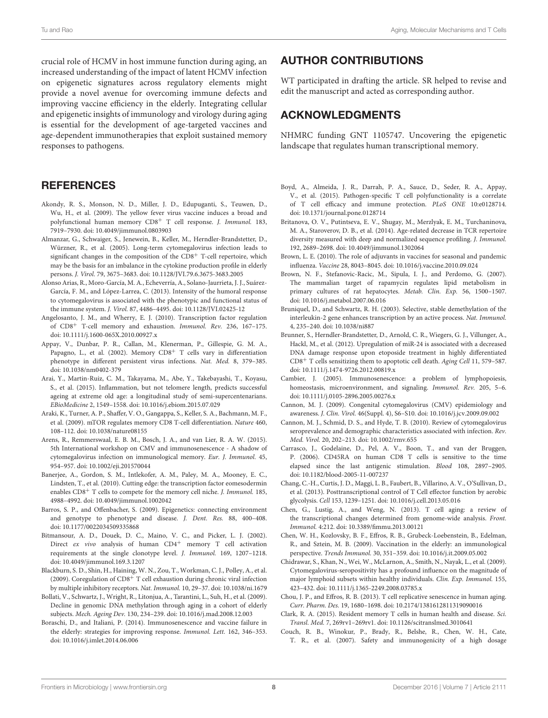crucial role of HCMV in host immune function during aging, an increased understanding of the impact of latent HCMV infection on epigenetic signatures across regulatory elements might provide a novel avenue for overcoming immune defects and improving vaccine efficiency in the elderly. Integrating cellular and epigenetic insights of immunology and virology during aging is essential for the development of age-targeted vaccines and age-dependent immunotherapies that exploit sustained memory responses to pathogens.

### **REFERENCES**

- <span id="page-7-19"></span>Akondy, R. S., Monson, N. D., Miller, J. D., Edupuganti, S., Teuwen, D., Wu, H., et al. (2009). The yellow fever virus vaccine induces a broad and polyfunctional human memory CD8<sup>+</sup> T cell response. J. Immunol. 183, 7919–7930. doi: [10.4049/jimmunol.0803903](https://doi.org/10.4049/jimmunol.0803903)
- <span id="page-7-1"></span>Almanzar, G., Schwaiger, S., Jenewein, B., Keller, M., Herndler-Brandstetter, D., Würzner, R., et al. (2005). Long-term cytomegalovirus infection leads to significant changes in the composition of the CD8<sup>+</sup> T-cell repertoire, which may be the basis for an imbalance in the cytokine production profile in elderly persons. J. Virol. 79, 3675–3683. doi: [10.1128/JVI.79.6.3675-3683.2005](https://doi.org/10.1128/JVI.79.6.3675-3683.2005)
- <span id="page-7-16"></span>Alonso Arias, R., Moro-García, M. A., Echeverría, A., Solano-Jaurrieta, J. J., Suárez-García, F. M., and López-Larrea, C. (2013). Intensity of the humoral response to cytomegalovirus is associated with the phenotypic and functional status of the immune system. J. Virol. 87, 4486–4495. doi: [10.1128/JVI.02425-12](https://doi.org/10.1128/JVI.02425-12)
- <span id="page-7-7"></span>Angelosanto, J. M., and Wherry, E. J. (2010). Transcription factor regulation of CD8<sup>+</sup> T-cell memory and exhaustion. Immunol. Rev. 236, 167–175. doi: [10.1111/j.1600-065X.2010.00927.x](https://doi.org/10.1111/j.1600-065X.2010.00927.x)
- <span id="page-7-17"></span>Appay, V., Dunbar, P. R., Callan, M., Klenerman, P., Gillespie, G. M. A., Papagno, L., et al. (2002). Memory CD8<sup>+</sup> T cells vary in differentiation phenotype in different persistent virus infections. Nat. Med. 8, 379–385. doi: [10.1038/nm0402-379](https://doi.org/10.1038/nm0402-379)
- <span id="page-7-22"></span>Arai, Y., Martin-Ruiz, C. M., Takayama, M., Abe, Y., Takebayashi, T., Koyasu, S., et al. (2015). Inflammation, but not telomere length, predicts successful ageing at extreme old age: a longitudinal study of semi-supercentenarians. EBioMedicine 2, 1549–1558. doi: [10.1016/j.ebiom.2015.07.029](https://doi.org/10.1016/j.ebiom.2015.07.029)
- <span id="page-7-11"></span>Araki, K., Turner, A. P., Shaffer, V. O., Gangappa, S., Keller, S. A., Bachmann, M. F., et al. (2009). mTOR regulates memory CD8 T-cell differentiation. Nature 460, 108–112. doi: [10.1038/nature08155](https://doi.org/10.1038/nature08155)
- <span id="page-7-5"></span>Arens, R., Remmerswaal, E. B. M., Bosch, J. A., and van Lier, R. A. W. (2015). 5th International workshop on CMV and immunosenescence - A shadow of cytomegalovirus infection on immunological memory. Eur. J. Immunol. 45, 954–957. doi: [10.1002/eji.201570044](https://doi.org/10.1002/eji.201570044)
- <span id="page-7-8"></span>Banerjee, A., Gordon, S. M., Intlekofer, A. M., Paley, M. A., Mooney, E. C., Lindsten, T., et al. (2010). Cutting edge: the transcription factor eomesodermin enables CD8<sup>+</sup> T cells to compete for the memory cell niche. *J. Immunol.* 185, 4988–4992. doi: [10.4049/jimmunol.1002042](https://doi.org/10.4049/jimmunol.1002042)
- <span id="page-7-29"></span>Barros, S. P., and Offenbacher, S. (2009). Epigenetics: connecting environment and genotype to phenotype and disease. J. Dent. Res. 88, 400–408. doi: [10.1177/0022034509335868](https://doi.org/10.1177/0022034509335868)
- <span id="page-7-21"></span>Bitmansour, A. D., Douek, D. C., Maino, V. C., and Picker, L. J. (2002). Direct ex vivo analysis of human CD4<sup>+</sup> memory T cell activation requirements at the single clonotype level. J. Immunol. 169, 1207–1218. doi: [10.4049/jimmunol.169.3.1207](https://doi.org/10.4049/jimmunol.169.3.1207)
- <span id="page-7-23"></span>Blackburn, S. D., Shin, H., Haining, W. N., Zou, T., Workman, C. J., Polley, A., et al. (2009). Coregulation of  $CD8<sup>+</sup>$  T cell exhaustion during chronic viral infection by multiple inhibitory receptors. Nat. Immunol. 10, 29–37. doi: [10.1038/ni.1679](https://doi.org/10.1038/ni.1679)
- <span id="page-7-9"></span>Bollati, V., Schwartz, J., Wright, R., Litonjua, A., Tarantini, L., Suh, H., et al. (2009). Decline in genomic DNA methylation through aging in a cohort of elderly subjects. Mech. Ageing Dev. 130, 234–239. doi: [10.1016/j.mad.2008.12.003](https://doi.org/10.1016/j.mad.2008.12.003)
- <span id="page-7-26"></span>Boraschi, D., and Italiani, P. (2014). Immunosenescence and vaccine failure in the elderly: strategies for improving response. Immunol. Lett. 162, 346–353. doi: [10.1016/j.imlet.2014.06.006](https://doi.org/10.1016/j.imlet.2014.06.006)

# AUTHOR CONTRIBUTIONS

WT participated in drafting the article. SR helped to revise and edit the manuscript and acted as corresponding author.

## ACKNOWLEDGMENTS

NHMRC funding GNT 1105747. Uncovering the epigenetic landscape that regulates human transcriptional memory.

- <span id="page-7-3"></span>Boyd, A., Almeida, J. R., Darrah, P. A., Sauce, D., Seder, R. A., Appay, V., et al. (2015). Pathogen-specific T cell polyfunctionality is a correlate of T cell efficacy and immune protection. PLoS ONE 10:e0128714. doi: [10.1371/journal.pone.0128714](https://doi.org/10.1371/journal.pone.0128714)
- <span id="page-7-2"></span>Britanova, O. V., Putintseva, E. V., Shugay, M., Merzlyak, E. M., Turchaninova, M. A., Staroverov, D. B., et al. (2014). Age-related decrease in TCR repertoire diversity measured with deep and normalized sequence profiling. J. Immunol. 192, 2689–2698. doi: [10.4049/jimmunol.1302064](https://doi.org/10.4049/jimmunol.1302064)
- <span id="page-7-28"></span>Brown, L. E. (2010). The role of adjuvants in vaccines for seasonal and pandemic influenza. Vaccine 28, 8043–8045. doi: [10.1016/j.vaccine.2010.09.024](https://doi.org/10.1016/j.vaccine.2010.09.024)
- <span id="page-7-12"></span>Brown, N. F., Stefanovic-Racic, M., Sipula, I. J., and Perdomo, G. (2007). The mammalian target of rapamycin regulates lipid metabolism in primary cultures of rat hepatocytes. Metab. Clin. Exp. 56, 1500–1507. doi: [10.1016/j.metabol.2007.06.016](https://doi.org/10.1016/j.metabol.2007.06.016)
- <span id="page-7-30"></span>Bruniquel, D., and Schwartz, R. H. (2003). Selective, stable demethylation of the interleukin-2 gene enhances transcription by an active process. Nat. Immunol. 4, 235–240. doi: [10.1038/ni887](https://doi.org/10.1038/ni887)
- <span id="page-7-10"></span>Brunner, S., Herndler-Brandstetter, D., Arnold, C. R., Wiegers, G. J., Villunger, A., Hackl, M., et al. (2012). Upregulation of miR-24 is associated with a decreased DNA damage response upon etoposide treatment in highly differentiated  $CD8<sup>+</sup>$  T cells sensitizing them to apoptotic cell death. Aging Cell 11, 579–587. doi: [10.1111/j.1474-9726.2012.00819.x](https://doi.org/10.1111/j.1474-9726.2012.00819.x)
- <span id="page-7-0"></span>Cambier, J. (2005). Immunosenescence: a problem of lymphopoiesis, homeostasis, microenvironment, and signaling. Immunol. Rev. 205, 5–6. doi: [10.1111/j.0105-2896.2005.00276.x](https://doi.org/10.1111/j.0105-2896.2005.00276.x)
- <span id="page-7-14"></span>Cannon, M. J. (2009). Congenital cytomegalovirus (CMV) epidemiology and awareness. J. Clin. Virol. 46(Suppl. 4), S6–S10. doi: [10.1016/j.jcv.2009.09.002](https://doi.org/10.1016/j.jcv.2009.09.002)
- <span id="page-7-15"></span>Cannon, M. J., Schmid, D. S., and Hyde, T. B. (2010). Review of cytomegalovirus seroprevalence and demographic characteristics associated with infection. Rev. Med. Virol. 20, 202–213. doi: [10.1002/rmv.655](https://doi.org/10.1002/rmv.655)
- <span id="page-7-20"></span>Carrasco, J., Godelaine, D., Pel, A. V., Boon, T., and van der Bruggen, P. (2006). CD45RA on human CD8 T cells is sensitive to the time elapsed since the last antigenic stimulation. Blood 108, 2897–2905. doi: [10.1182/blood-2005-11-007237](https://doi.org/10.1182/blood-2005-11-007237)
- <span id="page-7-13"></span>Chang, C.-H., Curtis, J. D., Maggi, L. B., Faubert, B., Villarino, A. V., O'Sullivan, D., et al. (2013). Posttranscriptional control of T Cell effector function by aerobic glycolysis. Cell 153, 1239–1251. doi: [10.1016/j.cell.2013.05.016](https://doi.org/10.1016/j.cell.2013.05.016)
- <span id="page-7-6"></span>Chen, G., Lustig, A., and Weng, N. (2013). T cell aging: a review of the transcriptional changes determined from genome-wide analysis. Front. Immunol. 4:212. doi: [10.3389/fimmu.2013.00121](https://doi.org/10.3389/fimmu.2013.00121)
- <span id="page-7-25"></span>Chen, W. H., Kozlovsky, B. F., Effros, R. B., Grubeck-Loebenstein, B., Edelman, R., and Sztein, M. B. (2009). Vaccination in the elderly: an immunological perspective. Trends Immunol. 30, 351–359. doi: [10.1016/j.it.2009.05.002](https://doi.org/10.1016/j.it.2009.05.002)
- <span id="page-7-18"></span>Chidrawar, S., Khan, N., Wei, W., McLarnon, A., Smith, N., Nayak, L., et al. (2009). Cytomegalovirus-seropositivity has a profound influence on the magnitude of major lymphoid subsets within healthy individuals. Clin. Exp. Immunol. 155, 423–432. doi: [10.1111/j.1365-2249.2008.03785.x](https://doi.org/10.1111/j.1365-2249.2008.03785.x)
- <span id="page-7-24"></span>Chou, J. P., and Effros, R. B. (2013). T cell replicative senescence in human aging. Curr. Pharm. Des. 19, 1680–1698. doi: [10.2174/1381612811319090016](https://doi.org/10.2174/1381612811319090016)
- <span id="page-7-4"></span>Clark, R. A. (2015). Resident memory T cells in human health and disease. Sci. Transl. Med. 7, 269rv1–269rv1. doi: [10.1126/scitranslmed.3010641](https://doi.org/10.1126/scitranslmed.3010641)
- <span id="page-7-27"></span>Couch, R. B., Winokur, P., Brady, R., Belshe, R., Chen, W. H., Cate, T. R., et al. (2007). Safety and immunogenicity of a high dosage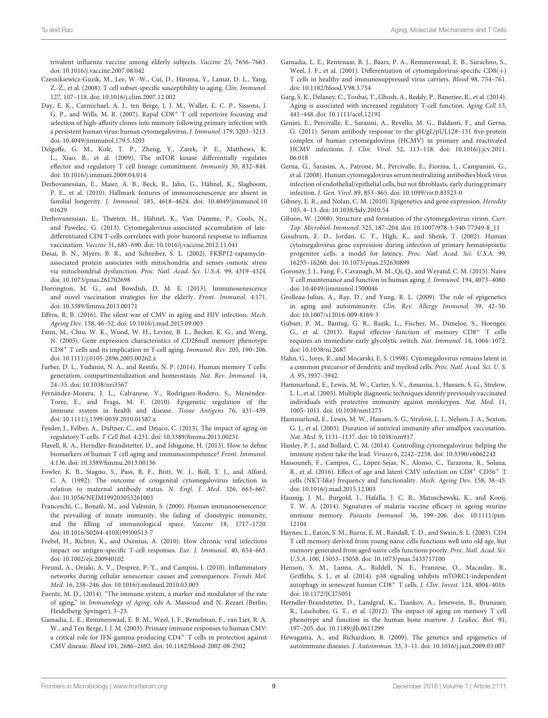trivalent influenza vaccine among elderly subjects. Vaccine 25, 7656–7663. doi: [10.1016/j.vaccine.2007.08.042](https://doi.org/10.1016/j.vaccine.2007.08.042)

- <span id="page-8-10"></span>Czesnikiewicz-Guzik, M., Lee, W.-W., Cui, D., Hiruma, Y., Lamar, D. L., Yang, Z.-Z., et al. (2008). T cell subset-specific susceptibility to aging. Clin. Immunol. 127, 107–118. doi: [10.1016/j.clim.2007.12.002](https://doi.org/10.1016/j.clim.2007.12.002)
- <span id="page-8-28"></span>Day, E. K., Carmichael, A. J., ten Berge, I. J. M., Waller, E. C. P., Sissons, J. G. P., and Wills, M. R. (2007). Rapid CD8<sup>+</sup> T cell repertoire focusing and selection of high-affinity clones into memory following primary infection with a persistent human virus: human cytomegalovirus. J. Immunol. 179, 3203–3213. doi: [10.4049/jimmunol.179.5.3203](https://doi.org/10.4049/jimmunol.179.5.3203)
- <span id="page-8-14"></span>Delgoffe, G. M., Kole, T. P., Zheng, Y., Zarek, P. E., Matthews, K. L., Xiao, B., et al. (2009). The mTOR kinase differentially regulates effector and regulatory T cell lineage commitment. Immunity 30, 832–844. doi: [10.1016/j.immuni.2009.04.014](https://doi.org/10.1016/j.immuni.2009.04.014)
- <span id="page-8-27"></span>Derhovanessian, E., Maier, A. B., Beck, R., Jahn, G., Hähnel, K., Slagboom, P. E., et al. (2010). Hallmark features of immunosenescence are absent in familial longevity. J. Immunol. [185, 4618–4624. doi: 10.4049/jimmunol.10](https://doi.org/10.4049/jimmunol.1001629) 01629
- <span id="page-8-29"></span>Derhovanessian, E., Theeten, H., Hähnel, K., Van Damme, P., Cools, N., and Pawelec, G. (2013). Cytomegalovirus-associated accumulation of latedifferentiated CD4 T-cells correlates with poor humoral response to influenza vaccination. Vaccine 31, 685–690. doi: [10.1016/j.vaccine.2012.11.041](https://doi.org/10.1016/j.vaccine.2012.11.041)
- <span id="page-8-15"></span>Desai, B. N., Myers, B. R., and Schreiber, S. L. (2002). FKBP12-rapamycinassociated protein associates with mitochondria and senses osmotic stress via mitochondrial dysfunction. Proc. Natl. Acad. Sci. U.S.A. 99, 4319–4324. doi: [10.1073/pnas.261702698](https://doi.org/10.1073/pnas.261702698)
- <span id="page-8-36"></span>Dorrington, M. G., and Bowdish, D. M. E. (2013). Immunosenescence and novel vaccination strategies for the elderly. Front. Immunol. 4:171. doi: [10.3389/fimmu.2013.00171](https://doi.org/10.3389/fimmu.2013.00171)
- <span id="page-8-32"></span>Effros, R. B. (2016). The silent war of CMV in aging and HIV infection. Mech. Ageing Dev. 158, 46–52. doi: [10.1016/j.mad.2015.09.003](https://doi.org/10.1016/j.mad.2015.09.003)
- <span id="page-8-9"></span>Fann, M., Chiu, W. K., Wood, W. H., Levine, B. L., Becker, K. G., and Weng, N. (2005). Gene expression characteristics of CD28null memory phenotype CD8<sup>+</sup> T cells and its implication in T-cell aging. Immunol. Rev. 205, 190–206. doi: [10.1111/j.0105-2896.2005.00262.x](https://doi.org/10.1111/j.0105-2896.2005.00262.x)
- <span id="page-8-0"></span>Farber, D. L., Yudanin, N. A., and Restifo, N. P. (2014). Human memory T cells: generation, compartmentalization and homeostasis. Nat. Rev. Immunol. 14, 24–35. doi: [10.1038/nri3567](https://doi.org/10.1038/nri3567)
- <span id="page-8-12"></span>Fernández-Morera, J. L., Calvanese, V., Rodríguez-Rodero, S., Menéndez-Torre, E., and Fraga, M. F. (2010). Epigenetic regulation of the immune system in health and disease. Tissue Antigens 76, 431–439. doi: [10.1111/j.1399-0039.2010.01587.x](https://doi.org/10.1111/j.1399-0039.2010.01587.x)
- <span id="page-8-7"></span>Fessler, J., Felber, A., Duftner, C., and Dejaco, C. (2013). The impact of aging on regulatory T-cells. T Cell Biol. 4:231. doi: [10.3389/fimmu.2013.00231](https://doi.org/10.3389/fimmu.2013.00231)
- <span id="page-8-2"></span>Flavell, R. A., Herndler-Brandstetter, D., and Ishigame, H. (2013). How to define biomarkers of human T cell aging and immunocompetence? Front. Immunol. 4:136. doi: [10.3389/fimmu.2013.00136](https://doi.org/10.3389/fimmu.2013.00136)
- <span id="page-8-25"></span>Fowler, K. B., Stagno, S., Pass, R. F., Britt, W. J., Boll, T. J., and Alford, C. A. (1992). The outcome of congenital cytomegalovirus infection in relation to maternal antibody status. N. Engl. J. Med. 326, 663–667. doi: [10.1056/NEJM199203053261003](https://doi.org/10.1056/NEJM199203053261003)
- <span id="page-8-34"></span>Franceschi, C., Bonafè, M., and Valensin, S. (2000). Human immunosenescence: the prevailing of innate immunity, the failing of clonotypic immunity, and the filling of immunological space. Vaccine 18, 1717–1720. doi: [10.1016/S0264-410X\(99\)00513-7](https://doi.org/10.1016/S0264-410X(99)00513-7)
- <span id="page-8-31"></span>Frebel, H., Richter, K., and Oxenius, A. (2010). How chronic viral infections impact on antigen-specific T-cell responses. Eur. J. Immunol. 40, 654–663. doi: [10.1002/eji.200940102](https://doi.org/10.1002/eji.200940102)
- <span id="page-8-35"></span>Freund, A., Orjalo, A. V., Desprez, P.-Y., and Campisi, J. (2010). Inflammatory networks during cellular senescence: causes and consequences. Trends Mol. Med. 16, 238–246. doi: [10.1016/j.molmed.2010.03.003](https://doi.org/10.1016/j.molmed.2010.03.003)
- <span id="page-8-13"></span>Fuente, M. D., (2014). "The immune system, a marker and modulator of the rate of aging," in Immunology of Aging, eds A. Massoud and N. Rezaei (Berlin; Heidelberg: Springer), 3–23.
- <span id="page-8-22"></span>Gamadia, L. E., Remmerswaal, E. B. M., Weel, J. F., Bemelman, F., van Lier, R. A. W., and Ten Berge, I. J. M. (2003). Primary immune responses to human CMV: a critical role for IFN-gamma-producing CD4<sup>+</sup> T cells in protection against CMV disease. Blood 101, 2686–2692. doi: [10.1182/blood-2002-08-2502](https://doi.org/10.1182/blood-2002-08-2502)
- <span id="page-8-26"></span>Gamadia, L. E., Rentenaar, R. J., Baars, P. A., Remmerswaal, E. B., Surachno, S., Weel, J. F., et al. (2001). Differentiation of cytomegalovirus-specific CD8(+) T cells in healthy and immunosuppressed virus carriers. Blood 98, 754–761. doi: [10.1182/blood.V98.3.754](https://doi.org/10.1182/blood.V98.3.754)
- <span id="page-8-8"></span>Garg, S. K., Delaney, C., Toubai, T., Ghosh, A., Reddy, P., Banerjee, R., et al. (2014). Aging is associated with increased regulatory T-cell function. Aging Cell 13, 441–448. doi: [10.1111/acel.12191](https://doi.org/10.1111/acel.12191)
- <span id="page-8-24"></span>Genini, E., Percivalle, E., Sarasini, A., Revello, M. G., Baldanti, F., and Gerna, G. (2011). Serum antibody response to the gH/gL/pUL128–131 five-protein complex of human cytomegalovirus (HCMV) in primary and reactivated HCMV infections. J. Clin. Virol. [52, 113–118. doi: 10.1016/j.jcv.2011.](https://doi.org/10.1016/j.jcv.2011.06.018) 06.018
- <span id="page-8-23"></span>Gerna, G., Sarasini, A., Patrone, M., Percivalle, E., Fiorina, L., Campanini, G., et al. (2008). Human cytomegalovirus serum neutralizing antibodies block virus infection of endothelial/epithelial cells, but not fibroblasts, early during primary infection. J. Gen. Virol. 89, 853–865. doi: [10.1099/vir.0.83523-0](https://doi.org/10.1099/vir.0.83523-0)
- <span id="page-8-11"></span>Gibney, E. R., and Nolan, C. M. (2010). Epigenetics and gene expression. Heredity 105, 4–13. doi: [10.1038/hdy.2010.54](https://doi.org/10.1038/hdy.2010.54)
- <span id="page-8-18"></span>Gibson, W. (2008). Structure and formation of the cytomegalovirus virion. Curr. Top. Microbiol. Immunol. 325, 187–204. doi: [10.1007/978-3-540-77349-8\\_11](https://doi.org/10.1007/978-3-540-77349-8_11)
- <span id="page-8-19"></span>Goodrum, F. D., Jordan, C. T., High, K., and Shenk, T. (2002). Human cytomegalovirus gene expression during infection of primary hematopoietic progenitor cells: a model for latency. Proc. Natl. Acad. Sci. U.S.A. 99, 16255–16260. doi: [10.1073/pnas.252630899](https://doi.org/10.1073/pnas.252630899)
- <span id="page-8-1"></span>Goronzy, J. J., Fang, F., Cavanagh, M. M., Qi, Q., and Weyand, C. M. (2015). Naive T cell maintenance and function in human aging. J. Immunol. 194, 4073–4080. doi: [10.4049/jimmunol.1500046](https://doi.org/10.4049/jimmunol.1500046)
- <span id="page-8-37"></span>Grolleau-Julius, A., Ray, D., and Yung, R. L. (2009). The role of epigenetics in aging and autoimmunity. Clin. Rev. Allergy Immunol. 39, 42–50. doi: [10.1007/s12016-009-8169-3](https://doi.org/10.1007/s12016-009-8169-3)
- <span id="page-8-17"></span>Gubser, P. M., Bantug, G. R., Razik, L., Fischer, M., Dimeloe, S., Hoenger, G., et al. (2013). Rapid effector function of memory CD8<sup>+</sup> T cells requires an immediate-early glycolytic switch. Nat. Immunol. 14, 1064–1072. doi: [10.1038/ni.2687](https://doi.org/10.1038/ni.2687)
- <span id="page-8-20"></span>Hahn, G., Jores, R., and Mocarski, E. S. (1998). Cytomegalovirus remains latent in a common precursor of dendritic and myeloid cells. Proc. Natl. Acad. Sci. U. S. A. 95, 3937–3942.
- <span id="page-8-4"></span>Hammarlund, E., Lewis, M. W., Carter, S. V., Amanna, I., Hansen, S. G., Strelow, L. I., et al. (2005). Multiple diagnostic techniques identify previously vaccinated individuals with protective immunity against monkeypox. Nat. Med. 11, 1005–1011. doi: [10.1038/nm1273](https://doi.org/10.1038/nm1273)
- <span id="page-8-3"></span>Hammarlund, E., Lewis, M. W., Hansen, S. G., Strelow, L. I., Nelson, J. A., Sexton, G. J., et al. (2003). Duration of antiviral immunity after smallpox vaccination. Nat. Med. 9, 1131–1137. doi: [10.1038/nm917](https://doi.org/10.1038/nm917)
- <span id="page-8-21"></span>Hanley, P. J., and Bollard, C. M. (2014). Controlling cytomegalovirus: helping the immune system take the lead. Viruses 6, 2242–2258. doi: [10.3390/v6062242](https://doi.org/10.3390/v6062242)
- <span id="page-8-30"></span>Hassouneh, F., Campos, C., López-Sejas, N., Alonso, C., Tarazona, R., Solana, R., et al. (2016). Effect of age and latent CMV infection on CD8<sup>+</sup> CD56<sup>+</sup> T cells (NKT-like) frequency and functionality. Mech. Ageing Dev. 158, 38–45. doi: [10.1016/j.mad.2015.12.003](https://doi.org/10.1016/j.mad.2015.12.003)
- <span id="page-8-33"></span>Haussig, J. M., Burgold, J., Hafalla, J. C. R., Matuschewski, K., and Kooij, T. W. A. (2014). Signatures of malaria vaccine efficacy in ageing murine immune memory. Parasite Immunol. [36, 199–206. doi: 10.1111/pim.](https://doi.org/10.1111/pim.12104) 12104
- <span id="page-8-5"></span>Haynes, L., Eaton, S. M., Burns, E. M., Randall, T. D., and Swain, S. L. (2003). CD4 T cell memory derived from young naive cells functions well into old age, but memory generated from aged naive cells functions poorly. Proc. Natl. Acad. Sci. U.S.A. 100, 15053–15058. doi: [10.1073/pnas.2433717100](https://doi.org/10.1073/pnas.2433717100)
- <span id="page-8-16"></span>Henson, S. M., Lanna, A., Riddell, N. E., Franzese, O., Macaulay, R., Griffiths, S. J., et al. (2014). p38 signaling inhibits mTORC1-independent autophagy in senescent human CD8<sup>+</sup> T cells. J. Clin. Invest. 124, 4004–4016. doi: [10.1172/JCI75051](https://doi.org/10.1172/JCI75051)
- <span id="page-8-6"></span>Herndler-Brandstetter, D., Landgraf, K., Tzankov, A., Jenewein, B., Brunauer, R., Laschober, G. T., et al. (2012). The impact of aging on memory T cell phenotype and function in the human bone marrow. J. Leukoc. Biol. 91, 197–205. doi: [10.1189/jlb.0611299](https://doi.org/10.1189/jlb.0611299)
- <span id="page-8-38"></span>Hewagama, A., and Richardson, B. (2009). The genetics and epigenetics of autoimmune diseases. J. Autoimmun. 33, 3–11. doi: [10.1016/j.jaut.2009.03.007](https://doi.org/10.1016/j.jaut.2009.03.007)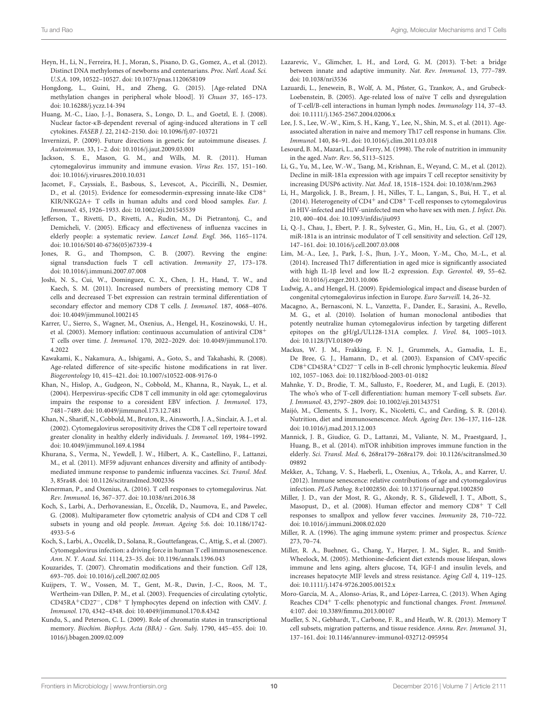- <span id="page-9-13"></span>Heyn, H., Li, N., Ferreira, H. J., Moran, S., Pisano, D. G., Gomez, A., et al. (2012). Distinct DNA methylomes of newborns and centenarians. Proc. Natl. Acad. Sci. U.S.A. 109, 10522–10527. doi: [10.1073/pnas.1120658109](https://doi.org/10.1073/pnas.1120658109)
- <span id="page-9-14"></span>Hongdong, L., Guini, H., and Zheng, G. (2015). [Age-related DNA methylation changes in peripheral whole blood]. Yi Chuan 37, 165–173. doi: [10.16288/j.yczz.14-394](https://doi.org/10.16288/j.yczz.14-394)
- <span id="page-9-6"></span>Huang, M.-C., Liao, J.-J., Bonasera, S., Longo, D. L., and Goetzl, E. J. (2008). Nuclear factor-κB-dependent reversal of aging-induced alterations in T cell cytokines. FASEB J. 22, 2142–2150. doi: [10.1096/fj.07-103721](https://doi.org/10.1096/fj.07-103721)
- <span id="page-9-39"></span>Invernizzi, P. (2009). Future directions in genetic for autoimmune diseases. J. Autoimmun. 33, 1–2. doi: [10.1016/j.jaut.2009.03.001](https://doi.org/10.1016/j.jaut.2009.03.001)
- <span id="page-9-27"></span>Jackson, S. E., Mason, G. M., and Wills, M. R. (2011). Human cytomegalovirus immunity and immune evasion. Virus Res. 157, 151–160. doi: [10.1016/j.virusres.2010.10.031](https://doi.org/10.1016/j.virusres.2010.10.031)
- <span id="page-9-1"></span>Jacomet, F., Cayssials, E., Basbous, S., Levescot, A., Piccirilli, N., Desmier, D., et al. (2015). Evidence for eomesodermin-expressing innate-like CD8<sup>+</sup> KIR/NKG2A+ T cells in human adults and cord blood samples. Eur. J. Immunol. 45, 1926–1933. doi: [10.1002/eji.201545539](https://doi.org/10.1002/eji.201545539)
- <span id="page-9-37"></span>Jefferson, T., Rivetti, D., Rivetti, A., Rudin, M., Di Pietrantonj, C., and Demicheli, V. (2005). Efficacy and effectiveness of influenza vaccines in elderly people: a systematic review. Lancet Lond. Engl. 366, 1165–1174. doi: [10.1016/S0140-6736\(05\)67339-4](https://doi.org/10.1016/S0140-6736(05)67339-4)
- <span id="page-9-22"></span>Jones, R. G., and Thompson, C. B. (2007). Revving the engine: signal transduction fuels T cell activation. Immunity 27, 173–178. doi: [10.1016/j.immuni.2007.07.008](https://doi.org/10.1016/j.immuni.2007.07.008)
- <span id="page-9-11"></span>Joshi, N. S., Cui, W., Dominguez, C. X., Chen, J. H., Hand, T. W., and Kaech, S. M. (2011). Increased numbers of preexisting memory CD8 T cells and decreased T-bet expression can restrain terminal differentiation of secondary effector and memory CD8 T cells. J. Immunol. 187, 4068–4076. doi: [10.4049/jimmunol.1002145](https://doi.org/10.4049/jimmunol.1002145)
- <span id="page-9-29"></span>Karrer, U., Sierro, S., Wagner, M., Oxenius, A., Hengel, H., Koszinowski, U. H., et al. (2003). Memory inflation: continuous accumulation of antiviral CD8<sup>+</sup> T cells over time. J. Immunol. [170, 2022–2029. doi: 10.4049/jimmunol.170.](https://doi.org/10.4049/jimmunol.170.4.2022) 4.2022
- <span id="page-9-16"></span>Kawakami, K., Nakamura, A., Ishigami, A., Goto, S., and Takahashi, R. (2008). Age-related difference of site-specific histone modifications in rat liver. Biogerontology 10, 415–421. doi: [10.1007/s10522-008-9176-0](https://doi.org/10.1007/s10522-008-9176-0)
- <span id="page-9-34"></span>Khan, N., Hislop, A., Gudgeon, N., Cobbold, M., Khanna, R., Nayak, L., et al. (2004). Herpesvirus-specific CD8 T cell immunity in old age: cytomegalovirus impairs the response to a coresident EBV infection. J. Immunol. 173, 7481–7489. doi: [10.4049/jimmunol.173.12.7481](https://doi.org/10.4049/jimmunol.173.12.7481)
- <span id="page-9-35"></span>Khan, N., Shariff, N., Cobbold, M., Bruton, R., Ainsworth, J. A., Sinclair, A. J., et al. (2002). Cytomegalovirus seropositivity drives the CD8 T cell repertoire toward greater clonality in healthy elderly individuals. J. Immunol. 169, 1984–1992. doi: [10.4049/jimmunol.169.4.1984](https://doi.org/10.4049/jimmunol.169.4.1984)
- <span id="page-9-38"></span>Khurana, S., Verma, N., Yewdell, J. W., Hilbert, A. K., Castellino, F., Lattanzi, M., et al. (2011). MF59 adjuvant enhances diversity and affinity of antibodymediated immune response to pandemic influenza vaccines. Sci. Transl. Med. 3, 85ra48. doi: [10.1126/scitranslmed.3002336](https://doi.org/10.1126/scitranslmed.3002336)
- <span id="page-9-24"></span>Klenerman, P., and Oxenius, A. (2016). T cell responses to cytomegalovirus. Nat. Rev. Immunol. 16, 367–377. doi: [10.1038/nri.2016.38](https://doi.org/10.1038/nri.2016.38)
- <span id="page-9-4"></span>Koch, S., Larbi, A., Derhovanessian, E., Özcelik, D., Naumova, E., and Pawelec, G. (2008). Multiparameter flow cytometric analysis of CD4 and CD8 T cell [subsets in young and old people.](https://doi.org/10.1186/1742-4933-5-6) Immun. Ageing 5:6. doi: 10.1186/1742- 4933-5-6
- <span id="page-9-31"></span>Koch, S., Larbi, A., Ozcelik, D., Solana, R., Gouttefangeas, C., Attig, S., et al. (2007). Cytomegalovirus infection: a driving force in human T cell immunosenescence. Ann. N. Y. Acad. Sci. 1114, 23–35. doi: [10.1196/annals.1396.043](https://doi.org/10.1196/annals.1396.043)
- <span id="page-9-15"></span>Kouzarides, T. (2007). Chromatin modifications and their function. Cell 128, 693–705. doi: [10.1016/j.cell.2007.02.005](https://doi.org/10.1016/j.cell.2007.02.005)
- <span id="page-9-25"></span>Kuijpers, T. W., Vossen, M. T., Gent, M.-R., Davin, J.-C., Roos, M. T., Wertheim-van Dillen, P. M., et al. (2003). Frequencies of circulating cytolytic, CD45RA+CD27−, CD8<sup>+</sup> T lymphocytes depend on infection with CMV. J. Immunol. 170, 4342–4348. doi: [10.4049/jimmunol.170.8.4342](https://doi.org/10.4049/jimmunol.170.8.4342)
- <span id="page-9-9"></span>Kundu, S., and Peterson, C. L. (2009). Role of chromatin states in transcriptional memory. [Biochim. Biophys. Acta \(BBA\) - Gen. Subj.](https://doi.org/10.1016/j.bbagen.2009.02.009) 1790, 445–455. doi: 10. 1016/j.bbagen.2009.02.009
- <span id="page-9-12"></span>Lazarevic, V., Glimcher, L. H., and Lord, G. M. (2013). T-bet: a bridge between innate and adaptive immunity. Nat. Rev. Immunol. 13, 777–789. doi: [10.1038/nri3536](https://doi.org/10.1038/nri3536)
- <span id="page-9-5"></span>Lazuardi, L., Jenewein, B., Wolf, A. M., Pfister, G., Tzankov, A., and Grubeck-Loebenstein, B. (2005). Age-related loss of naïve T cells and dysregulation of T-cell/B-cell interactions in human lymph nodes. Immunology 114, 37–43. doi: [10.1111/j.1365-2567.2004.02006.x](https://doi.org/10.1111/j.1365-2567.2004.02006.x)
- <span id="page-9-7"></span>Lee, J. S., Lee, W.-W., Kim, S. H., Kang, Y., Lee, N., Shin, M. S., et al. (2011). Ageassociated alteration in naive and memory Th17 cell response in humans. Clin. Immunol. 140, 84–91. doi: [10.1016/j.clim.2011.03.018](https://doi.org/10.1016/j.clim.2011.03.018)
- <span id="page-9-19"></span>Lesourd, B. M., Mazari, L., and Ferry, M. (1998). The role of nutrition in immunity in the aged. Nutr. Rev. 56, S113–S125.
- <span id="page-9-18"></span>Li, G., Yu, M., Lee, W.-W., Tsang, M., Krishnan, E., Weyand, C. M., et al. (2012). Decline in miR-181a expression with age impairs T cell receptor sensitivity by increasing DUSP6 activity. Nat. Med. 18, 1518–1524. doi: [10.1038/nm.2963](https://doi.org/10.1038/nm.2963)
- <span id="page-9-30"></span>Li, H., Margolick, J. B., Bream, J. H., Nilles, T. L., Langan, S., Bui, H. T., et al. (2014). Heterogeneity of  $CD4^+$  and  $CD8^+$  T-cell responses to cytomegalovirus in HIV-infected and HIV-uninfected men who have sex with men. J. Infect. Dis. 210, 400–404. doi: [10.1093/infdis/jiu093](https://doi.org/10.1093/infdis/jiu093)
- <span id="page-9-17"></span>Li, Q.-J., Chau, J., Ebert, P. J. R., Sylvester, G., Min, H., Liu, G., et al. (2007). miR-181a is an intrinsic modulator of T cell sensitivity and selection. Cell 129, 147–161. doi: [10.1016/j.cell.2007.03.008](https://doi.org/10.1016/j.cell.2007.03.008)
- <span id="page-9-8"></span>Lim, M.-A., Lee, J., Park, J.-S., Jhun, J.-Y., Moon, Y.-M., Cho, M.-L., et al. (2014). Increased Th17 differentiation in aged mice is significantly associated with high IL-1β level and low IL-2 expression. Exp. Gerontol. 49, 55–62. doi: [10.1016/j.exger.2013.10.006](https://doi.org/10.1016/j.exger.2013.10.006)
- <span id="page-9-23"></span>Ludwig, A., and Hengel, H. (2009). Epidemiological impact and disease burden of congenital cytomegalovirus infection in Europe. Euro Surveill. 14, 26–32.
- <span id="page-9-28"></span>Macagno, A., Bernasconi, N. L., Vanzetta, F., Dander, E., Sarasini, A., Revello, M. G., et al. (2010). Isolation of human monoclonal antibodies that potently neutralize human cytomegalovirus infection by targeting different epitopes on the gH/gL/UL128-131A complex. J. Virol. 84, 1005–1013. doi: [10.1128/JVI.01809-09](https://doi.org/10.1128/JVI.01809-09)
- <span id="page-9-26"></span>Mackus, W. J. M., Frakking, F. N. J., Grummels, A., Gamadia, L. E., De Bree, G. J., Hamann, D., et al. (2003). Expansion of CMV-specific CD8+CD45RA+CD27−T cells in B-cell chronic lymphocytic leukemia. Blood 102, 1057–1063. doi: [10.1182/blood-2003-01-0182](https://doi.org/10.1182/blood-2003-01-0182)
- <span id="page-9-33"></span>Mahnke, Y. D., Brodie, T. M., Sallusto, F., Roederer, M., and Lugli, E. (2013). The who's who of T-cell differentiation: human memory T-cell subsets. Eur. J. Immunol. 43, 2797–2809. doi: [10.1002/eji.201343751](https://doi.org/10.1002/eji.201343751)
- <span id="page-9-20"></span>Maijó, M., Clements, S. J., Ivory, K., Nicoletti, C., and Carding, S. R. (2014). Nutrition, diet and immunosenescence. Mech. Ageing Dev. 136–137, 116–128. doi: [10.1016/j.mad.2013.12.003](https://doi.org/10.1016/j.mad.2013.12.003)
- <span id="page-9-10"></span>Mannick, J. B., Giudice, G. D., Lattanzi, M., Valiante, N. M., Praestgaard, J., Huang, B., et al. (2014). mTOR inhibition improves immune function in the elderly. Sci. Transl. Med. [6, 268ra179–268ra179. doi: 10.1126/scitranslmed.30](https://doi.org/10.1126/scitranslmed.3009892) 09892
- <span id="page-9-36"></span>Mekker, A., Tchang, V. S., Haeberli, L., Oxenius, A., Trkola, A., and Karrer, U. (2012). Immune senescence: relative contributions of age and cytomegalovirus infection. PLoS Pathog. 8:e1002850. doi: [10.1371/journal.ppat.1002850](https://doi.org/10.1371/journal.ppat.1002850)
- <span id="page-9-32"></span>Miller, J. D., van der Most, R. G., Akondy, R. S., Glidewell, J. T., Albott, S., Masopust, D., et al. (2008). Human effector and memory CD8<sup>+</sup> T Cell responses to smallpox and yellow fever vaccines. Immunity 28, 710–722. doi: [10.1016/j.immuni.2008.02.020](https://doi.org/10.1016/j.immuni.2008.02.020)
- <span id="page-9-0"></span>Miller, R. A. (1996). The aging immune system: primer and prospectus. Science 273, 70–74.
- <span id="page-9-21"></span>Miller, R. A., Buehner, G., Chang, Y., Harper, J. M., Sigler, R., and Smith-Wheelock, M. (2005). Methionine-deficient diet extends mouse lifespan, slows immune and lens aging, alters glucose, T4, IGF-I and insulin levels, and increases hepatocyte MIF levels and stress resistance. Aging Cell 4, 119–125. doi: [10.1111/j.1474-9726.2005.00152.x](https://doi.org/10.1111/j.1474-9726.2005.00152.x)
- <span id="page-9-3"></span>Moro-García, M. A., Alonso-Arias, R., and López-Larrea, C. (2013). When Aging Reaches CD4<sup>+</sup> T-cells: phenotypic and functional changes. Front. Immunol. 4:107. doi: [10.3389/fimmu.2013.00107](https://doi.org/10.3389/fimmu.2013.00107)
- <span id="page-9-2"></span>Mueller, S. N., Gebhardt, T., Carbone, F. R., and Heath, W. R. (2013). Memory T cell subsets, migration patterns, and tissue residence. Annu. Rev. Immunol. 31, 137–161. doi: [10.1146/annurev-immunol-032712-095954](https://doi.org/10.1146/annurev-immunol-032712-095954)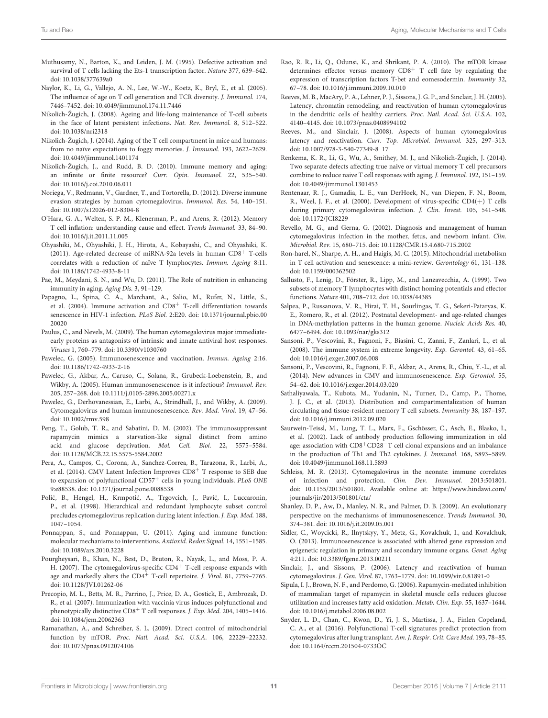- <span id="page-10-15"></span>Muthusamy, N., Barton, K., and Leiden, J. M. (1995). Defective activation and survival of T cells lacking the Ets-1 transcription factor. Nature 377, 639–642. doi: [10.1038/377639a0](https://doi.org/10.1038/377639a0)
- <span id="page-10-6"></span>Naylor, K., Li, G., Vallejo, A. N., Lee, W.-W., Koetz, K., Bryl, E., et al. (2005). The influence of age on T cell generation and TCR diversity. J. Immunol. 174, 7446–7452. doi: [10.4049/jimmunol.174.11.7446](https://doi.org/10.4049/jimmunol.174.11.7446)
- <span id="page-10-0"></span>Nikolich-Žugich, J. (2008). Ageing and life-long maintenance of T-cell subsets in the face of latent persistent infections. Nat. Rev. Immunol. 8, 512–522. doi: [10.1038/nri2318](https://doi.org/10.1038/nri2318)
- <span id="page-10-1"></span>Nikolich-Žugich, J. (2014). Aging of the T cell compartment in mice and humans: from no naïve expectations to foggy memories. J. Immunol. 193, 2622–2629. doi: [10.4049/jimmunol.1401174](https://doi.org/10.4049/jimmunol.1401174)
- <span id="page-10-5"></span>Nikolich-Žugich, J., and Rudd, B. D. (2010). Immune memory and aging: an infinite or finite resource? Curr. Opin. Immunol. 22, 535–540. doi: [10.1016/j.coi.2010.06.011](https://doi.org/10.1016/j.coi.2010.06.011)
- <span id="page-10-25"></span>Noriega, V., Redmann, V., Gardner, T., and Tortorella, D. (2012). Diverse immune evasion strategies by human cytomegalovirus. Immunol. Res. 54, 140–151. doi: [10.1007/s12026-012-8304-8](https://doi.org/10.1007/s12026-012-8304-8)
- <span id="page-10-35"></span>O'Hara, G. A., Welten, S. P. M., Klenerman, P., and Arens, R. (2012). Memory T cell inflation: understanding cause and effect. Trends Immunol. 33, 84–90. doi: [10.1016/j.it.2011.11.005](https://doi.org/10.1016/j.it.2011.11.005)
- <span id="page-10-16"></span>Ohyashiki, M., Ohyashiki, J. H., Hirota, A., Kobayashi, C., and Ohyashiki, K. (2011). Age-related decrease of miRNA-92a levels in human CD8<sup>+</sup> T-cells correlates with a reduction of naïve T lymphocytes. Immun. Ageing 8:11. doi: [10.1186/1742-4933-8-11](https://doi.org/10.1186/1742-4933-8-11)
- <span id="page-10-17"></span>Pae, M., Meydani, S. N., and Wu, D. (2011). The Role of nutrition in enhancing immunity in aging. Aging Dis. 3, 91–129.
- <span id="page-10-38"></span>Papagno, L., Spina, C. A., Marchant, A., Salio, M., Rufer, N., Little, S., et al. (2004). Immune activation and CD8<sup>+</sup> T-cell differentiation towards senescence in HIV-1 infection. PLoS Biol. [2:E20. doi: 10.1371/journal.pbio.00](https://doi.org/10.1371/journal.pbio.0020020) 20020
- <span id="page-10-23"></span>Paulus, C., and Nevels, M. (2009). The human cytomegalovirus major immediateearly proteins as antagonists of intrinsic and innate antiviral host responses. Viruses 1, 760–779. doi: [10.3390/v1030760](https://doi.org/10.3390/v1030760)
- <span id="page-10-32"></span>Pawelec, G. (2005). Immunosenescence and vaccination. Immun. Ageing 2:16. doi: [10.1186/1742-4933-2-16](https://doi.org/10.1186/1742-4933-2-16)
- <span id="page-10-33"></span>Pawelec, G., Akbar, A., Caruso, C., Solana, R., Grubeck-Loebenstein, B., and Wikby, A. (2005). Human immunosenescence: is it infectious? Immunol. Rev. 205, 257–268. doi: [10.1111/j.0105-2896.2005.00271.x](https://doi.org/10.1111/j.0105-2896.2005.00271.x)
- <span id="page-10-34"></span>Pawelec, G., Derhovanessian, E., Larbi, A., Strindhall, J., and Wikby, A. (2009). Cytomegalovirus and human immunosenescence. Rev. Med. Virol. 19, 47–56. doi: [10.1002/rmv.598](https://doi.org/10.1002/rmv.598)
- <span id="page-10-18"></span>Peng, T., Golub, T. R., and Sabatini, D. M. (2002). The immunosuppressant rapamycin mimics a starvation-like signal distinct from amino acid and glucose deprivation. Mol. Cell. Biol. 22, 5575–5584. doi: [10.1128/MCB.22.15.5575-5584.2002](https://doi.org/10.1128/MCB.22.15.5575-5584.2002)
- <span id="page-10-36"></span>Pera, A., Campos, C., Corona, A., Sanchez-Correa, B., Tarazona, R., Larbi, A., et al. (2014). CMV Latent Infection Improves CD8<sup>+</sup> T response to SEB due to expansion of polyfunctional CD57<sup>+</sup> cells in young individuals. PLoS ONE 9:e88538. doi: [10.1371/journal.pone.0088538](https://doi.org/10.1371/journal.pone.0088538)
- <span id="page-10-27"></span>Polić, B., Hengel, H., Krmpotić, A., Trgovcich, J., Pavić, I., Luccaronin, P., et al. (1998). Hierarchical and redundant lymphocyte subset control precludes cytomegalovirus replication during latent infection. J. Exp. Med. 188, 1047–1054.
- <span id="page-10-10"></span>Ponnappan, S., and Ponnappan, U. (2011). Aging and immune function: molecular mechanisms to interventions. Antioxid. Redox Signal. 14, 1551–1585. doi: [10.1089/ars.2010.3228](https://doi.org/10.1089/ars.2010.3228)
- <span id="page-10-30"></span>Pourgheysari, B., Khan, N., Best, D., Bruton, R., Nayak, L., and Moss, P. A. H. (2007). The cytomegalovirus-specific CD4<sup>+</sup> T-cell response expands with age and markedly alters the CD4<sup>+</sup> T-cell repertoire. J. Virol. 81, 7759-7765. doi: [10.1128/JVI.01262-06](https://doi.org/10.1128/JVI.01262-06)
- <span id="page-10-31"></span>Precopio, M. L., Betts, M. R., Parrino, J., Price, D. A., Gostick, E., Ambrozak, D. R., et al. (2007). Immunization with vaccinia virus induces polyfunctional and phenotypically distinctive CD8<sup>+</sup> T cell responses. J. Exp. Med. 204, 1405-1416. doi: [10.1084/jem.20062363](https://doi.org/10.1084/jem.20062363)
- <span id="page-10-20"></span>Ramanathan, A., and Schreiber, S. L. (2009). Direct control of mitochondrial function by mTOR. Proc. Natl. Acad. Sci. U.S.A. 106, 22229–22232. doi: [10.1073/pnas.0912074106](https://doi.org/10.1073/pnas.0912074106)
- <span id="page-10-11"></span>Rao, R. R., Li, Q., Odunsi, K., and Shrikant, P. A. (2010). The mTOR kinase determines effector versus memory CD8<sup>+</sup> T cell fate by regulating the expression of transcription factors T-bet and eomesodermin. Immunity 32, 67–78. doi: [10.1016/j.immuni.2009.10.010](https://doi.org/10.1016/j.immuni.2009.10.010)
- <span id="page-10-24"></span>Reeves, M. B., MacAry, P. A., Lehner, P. J., Sissons, J. G. P., and Sinclair, J. H. (2005). Latency, chromatin remodeling, and reactivation of human cytomegalovirus in the dendritic cells of healthy carriers. Proc. Natl. Acad. Sci. U.S.A. 102, 4140–4145. doi: [10.1073/pnas.0408994102](https://doi.org/10.1073/pnas.0408994102)
- <span id="page-10-39"></span>Reeves, M., and Sinclair, J. (2008). Aspects of human cytomegalovirus latency and reactivation. Curr. Top. Microbiol. Immunol. 325, 297–313. doi: [10.1007/978-3-540-77349-8\\_17](https://doi.org/10.1007/978-3-540-77349-8_17)
- <span id="page-10-7"></span>Renkema, K. R., Li, G., Wu, A., Smithey, M. J., and Nikolich-Žugich, J. (2014). Two separate defects affecting true naive or virtual memory T cell precursors combine to reduce naive T cell responses with aging. J. Immunol. 192, 151–159. doi: [10.4049/jimmunol.1301453](https://doi.org/10.4049/jimmunol.1301453)
- <span id="page-10-26"></span>Rentenaar, R. J., Gamadia, L. E., van DerHoek, N., van Diepen, F. N., Boom, R., Weel, J. F., et al. (2000). Development of virus-specific CD4(+) T cells during primary cytomegalovirus infection. J. Clin. Invest. 105, 541–548. doi: [10.1172/JCI8229](https://doi.org/10.1172/JCI8229)
- <span id="page-10-28"></span>Revello, M. G., and Gerna, G. (2002). Diagnosis and management of human cytomegalovirus infection in the mother, fetus, and newborn infant. Clin. Microbiol. Rev. 15, 680–715. doi: [10.1128/CMR.15.4.680-715.2002](https://doi.org/10.1128/CMR.15.4.680-715.2002)
- <span id="page-10-21"></span>Ron-harel, N., Sharpe, A. H., and Haigis, M. C. (2015). Mitochondrial metabolism in T cell activation and senescence: a mini-review. Gerontology 61, 131–138. doi: [10.1159/000362502](https://doi.org/10.1159/000362502)
- <span id="page-10-2"></span>Sallusto, F., Lenig, D., Förster, R., Lipp, M., and Lanzavecchia, A. (1999). Two subsets of memory T lymphocytes with distinct homing potentials and effector functions. Nature 401, 708–712. doi: [10.1038/44385](https://doi.org/10.1038/44385)
- <span id="page-10-12"></span>Salpea, P., Russanova, V. R., Hirai, T. H., Sourlingas, T. G., Sekeri-Pataryas, K. E., Romero, R., et al. (2012). Postnatal development- and age-related changes in DNA-methylation patterns in the human genome. Nucleic Acids Res. 40, 6477–6494. doi: [10.1093/nar/gks312](https://doi.org/10.1093/nar/gks312)
- <span id="page-10-4"></span>Sansoni, P., Vescovini, R., Fagnoni, F., Biasini, C., Zanni, F., Zanlari, L., et al. (2008). The immune system in extreme longevity. Exp. Gerontol. 43, 61–65. doi: [10.1016/j.exger.2007.06.008](https://doi.org/10.1016/j.exger.2007.06.008)
- <span id="page-10-37"></span>Sansoni, P., Vescovini, R., Fagnoni, F. F., Akbar, A., Arens, R., Chiu, Y.-L., et al. (2014). New advances in CMV and immunosenescence. Exp. Gerontol. 55, 54–62. doi: [10.1016/j.exger.2014.03.020](https://doi.org/10.1016/j.exger.2014.03.020)
- <span id="page-10-9"></span>Sathaliyawala, T., Kubota, M., Yudanin, N., Turner, D., Camp, P., Thome, J. J. C., et al. (2013). Distribution and compartmentalization of human circulating and tissue-resident memory T cell subsets. Immunity 38, 187–197. doi: [10.1016/j.immuni.2012.09.020](https://doi.org/10.1016/j.immuni.2012.09.020)
- <span id="page-10-3"></span>Saurwein-Teissl, M., Lung, T. L., Marx, F., Gschösser, C., Asch, E., Blasko, I., et al. (2002). Lack of antibody production following immunization in old age: association with CD8+CD28−T cell clonal expansions and an imbalance in the production of Th1 and Th2 cytokines. J. Immunol. 168, 5893–5899. doi: [10.4049/jimmunol.168.11.5893](https://doi.org/10.4049/jimmunol.168.11.5893)
- <span id="page-10-29"></span>Schleiss, M. R. (2013). Cytomegalovirus in the neonate: immune correlates of infection and protection. Clin. Dev. Immunol. 2013:501801. doi: [10.1155/2013/501801.](https://doi.org/10.1155/2013/501801) Available online at: [https://www.hindawi.com/](https://www.hindawi.com/journals/jir/2013/501801/cta/) [journals/jir/2013/501801/cta/](https://www.hindawi.com/journals/jir/2013/501801/cta/)
- <span id="page-10-13"></span>Shanley, D. P., Aw, D., Manley, N. R., and Palmer, D. B. (2009). An evolutionary perspective on the mechanisms of immunosenescence. Trends Immunol. 30, 374–381. doi: [10.1016/j.it.2009.05.001](https://doi.org/10.1016/j.it.2009.05.001)
- <span id="page-10-14"></span>Sidler, C., Woycicki, R., Ilnytskyy, Y., Metz, G., Kovalchuk, I., and Kovalchuk, O. (2013). Immunosenescence is associated with altered gene expression and epigenetic regulation in primary and secondary immune organs. Genet. Aging 4:211. doi: [10.3389/fgene.2013.00211](https://doi.org/10.3389/fgene.2013.00211)
- <span id="page-10-22"></span>Sinclair, J., and Sissons, P. (2006). Latency and reactivation of human cytomegalovirus. J. Gen. Virol. 87, 1763–1779. doi: [10.1099/vir.0.81891-0](https://doi.org/10.1099/vir.0.81891-0)
- <span id="page-10-19"></span>Sipula, I. J., Brown, N. F., and Perdomo, G. (2006). Rapamycin-mediated inhibition of mammalian target of rapamycin in skeletal muscle cells reduces glucose utilization and increases fatty acid oxidation. Metab. Clin. Exp. 55, 1637–1644. doi: [10.1016/j.metabol.2006.08.002](https://doi.org/10.1016/j.metabol.2006.08.002)
- <span id="page-10-8"></span>Snyder, L. D., Chan, C., Kwon, D., Yi, J. S., Martissa, J. A., Finlen Copeland, C. A., et al. (2016). Polyfunctional T-cell signatures predict protection from cytomegalovirus after lung transplant. Am. J. Respir. Crit. Care Med. 193, 78–85. doi: [10.1164/rccm.201504-0733OC](https://doi.org/10.1164/rccm.201504-0733OC)